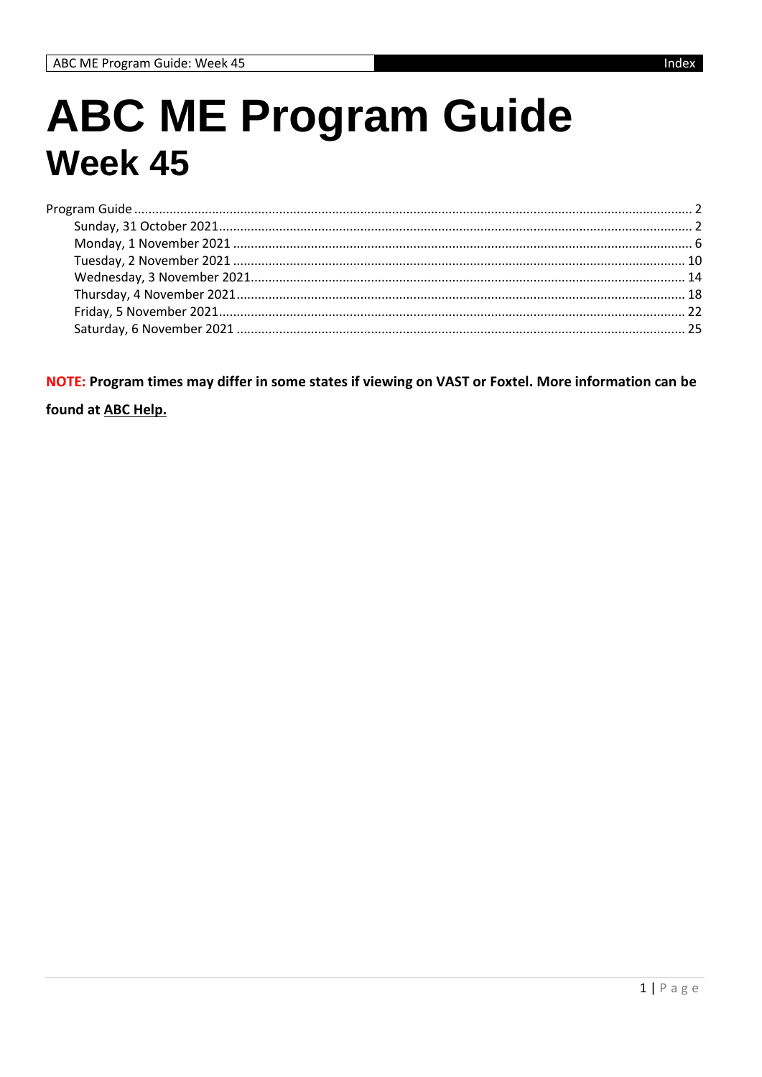## **ABC ME Program Guide Week 45**

NOTE: Program times may differ in some states if viewing on VAST or Foxtel. More information can be

found at ABC Help.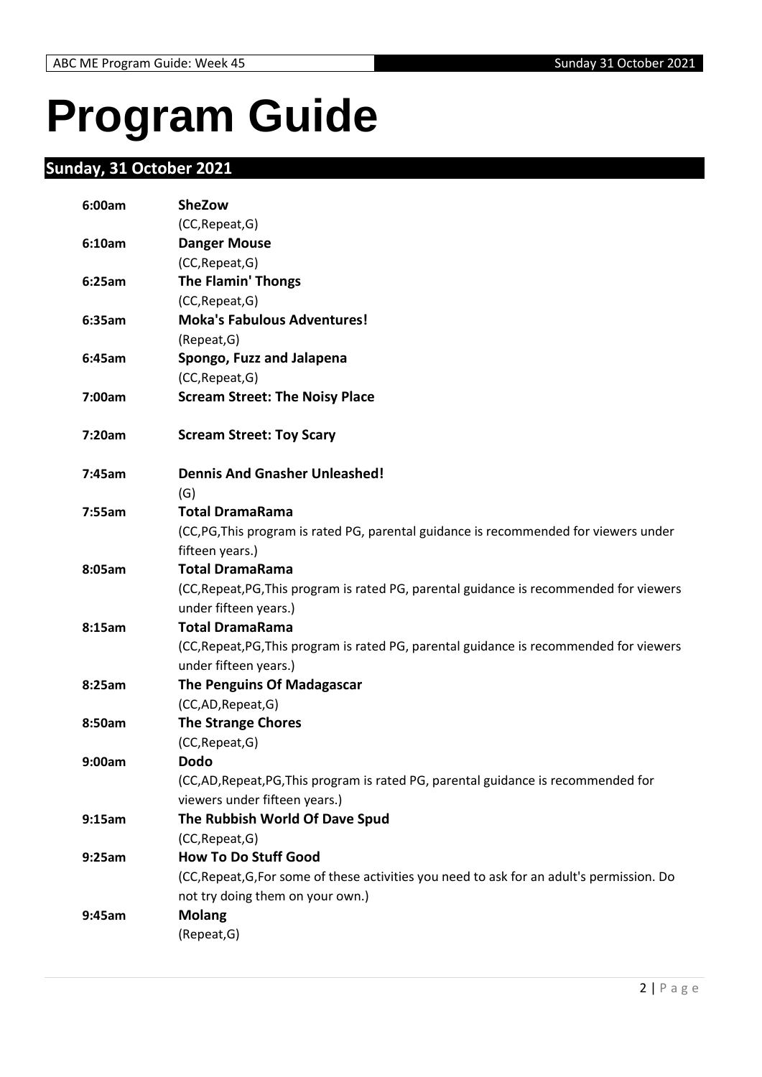# <span id="page-1-0"></span>**Program Guide**

### <span id="page-1-1"></span>**Sunday, 31 October 2021**

| 6:00am | <b>SheZow</b>                                                                              |
|--------|--------------------------------------------------------------------------------------------|
|        | (CC, Repeat, G)                                                                            |
| 6:10am | <b>Danger Mouse</b>                                                                        |
|        | (CC, Repeat, G)                                                                            |
| 6:25am | <b>The Flamin' Thongs</b>                                                                  |
|        | (CC, Repeat, G)                                                                            |
| 6:35am | <b>Moka's Fabulous Adventures!</b>                                                         |
|        | (Repeat, G)                                                                                |
| 6:45am | Spongo, Fuzz and Jalapena                                                                  |
|        | (CC, Repeat, G)                                                                            |
| 7:00am | <b>Scream Street: The Noisy Place</b>                                                      |
| 7:20am | <b>Scream Street: Toy Scary</b>                                                            |
| 7:45am | <b>Dennis And Gnasher Unleashed!</b>                                                       |
|        | (G)                                                                                        |
| 7:55am | <b>Total DramaRama</b>                                                                     |
|        | (CC, PG, This program is rated PG, parental guidance is recommended for viewers under      |
|        | fifteen years.)                                                                            |
| 8:05am | <b>Total DramaRama</b>                                                                     |
|        | (CC, Repeat, PG, This program is rated PG, parental guidance is recommended for viewers    |
|        | under fifteen years.)                                                                      |
| 8:15am | <b>Total DramaRama</b>                                                                     |
|        | (CC, Repeat, PG, This program is rated PG, parental guidance is recommended for viewers    |
|        | under fifteen years.)                                                                      |
| 8:25am | The Penguins Of Madagascar                                                                 |
|        | (CC,AD,Repeat,G)                                                                           |
| 8:50am | <b>The Strange Chores</b>                                                                  |
|        | (CC, Repeat, G)                                                                            |
| 9:00am | <b>Dodo</b>                                                                                |
|        | (CC,AD,Repeat,PG,This program is rated PG, parental guidance is recommended for            |
| 9:15am | viewers under fifteen years.)<br>The Rubbish World Of Dave Spud                            |
|        |                                                                                            |
| 9:25am | (CC, Repeat, G)<br><b>How To Do Stuff Good</b>                                             |
|        | (CC, Repeat, G, For some of these activities you need to ask for an adult's permission. Do |
|        | not try doing them on your own.)                                                           |
| 9:45am | <b>Molang</b>                                                                              |
|        | (Repeat, G)                                                                                |
|        |                                                                                            |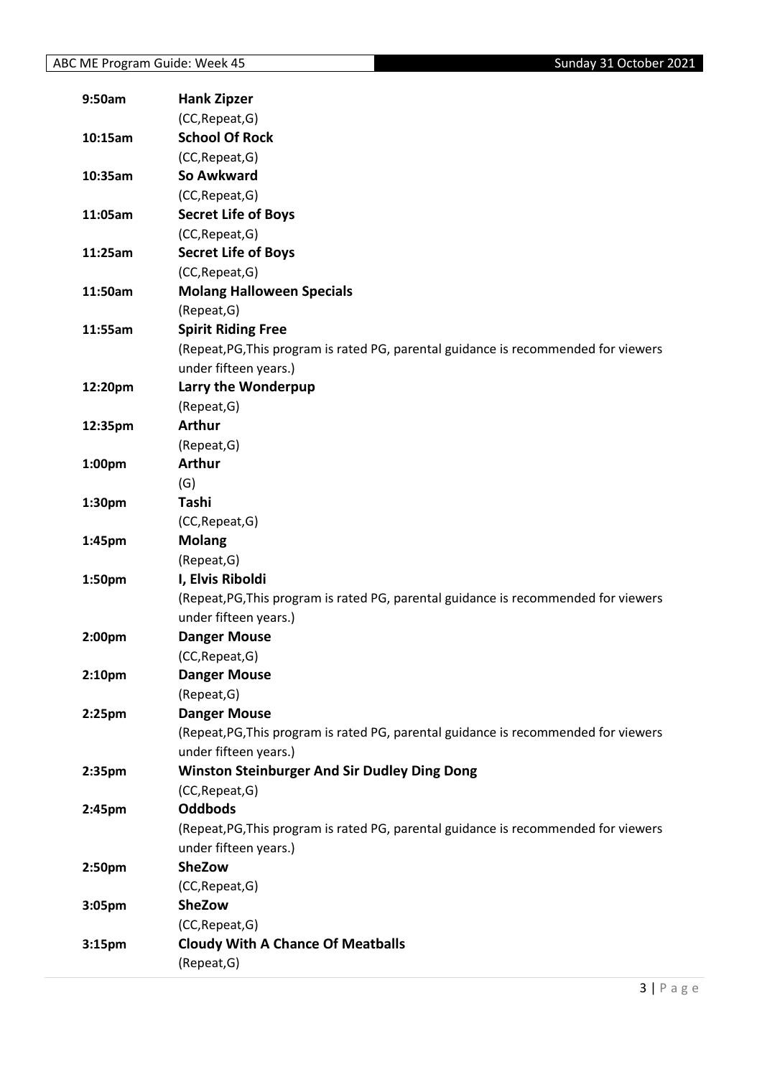| 9:50am             | <b>Hank Zipzer</b>                                                                  |
|--------------------|-------------------------------------------------------------------------------------|
|                    | (CC, Repeat, G)                                                                     |
| 10:15am            | <b>School Of Rock</b>                                                               |
|                    | (CC, Repeat, G)                                                                     |
| 10:35am            | So Awkward                                                                          |
|                    | (CC, Repeat, G)                                                                     |
| 11:05am            | <b>Secret Life of Boys</b>                                                          |
|                    | (CC, Repeat, G)                                                                     |
| 11:25am            | <b>Secret Life of Boys</b>                                                          |
|                    | (CC, Repeat, G)                                                                     |
| 11:50am            | <b>Molang Halloween Specials</b>                                                    |
|                    | (Repeat, G)                                                                         |
| 11:55am            | <b>Spirit Riding Free</b>                                                           |
|                    | (Repeat, PG, This program is rated PG, parental guidance is recommended for viewers |
|                    | under fifteen years.)                                                               |
| 12:20pm            | Larry the Wonderpup                                                                 |
|                    | (Repeat, G)                                                                         |
| 12:35pm            | <b>Arthur</b>                                                                       |
|                    | (Repeat, G)                                                                         |
| 1:00 <sub>pm</sub> | <b>Arthur</b>                                                                       |
|                    | (G)                                                                                 |
| 1:30 <sub>pm</sub> | Tashi                                                                               |
|                    | (CC, Repeat, G)                                                                     |
| 1:45pm             | <b>Molang</b>                                                                       |
|                    | (Repeat, G)                                                                         |
| 1:50pm             | I, Elvis Riboldi                                                                    |
|                    | (Repeat, PG, This program is rated PG, parental guidance is recommended for viewers |
|                    | under fifteen years.)                                                               |
| 2:00pm             | <b>Danger Mouse</b>                                                                 |
|                    | (CC, Repeat, G)                                                                     |
| 2:10pm             | <b>Danger Mouse</b>                                                                 |
|                    | (Repeat, G)                                                                         |
| 2:25 <sub>pm</sub> | <b>Danger Mouse</b>                                                                 |
|                    | (Repeat, PG, This program is rated PG, parental guidance is recommended for viewers |
|                    | under fifteen years.)                                                               |
| 2:35pm             | <b>Winston Steinburger And Sir Dudley Ding Dong</b>                                 |
|                    | (CC, Repeat, G)                                                                     |
| 2:45pm             | <b>Oddbods</b>                                                                      |
|                    | (Repeat, PG, This program is rated PG, parental guidance is recommended for viewers |
|                    | under fifteen years.)                                                               |
| 2:50pm             | <b>SheZow</b>                                                                       |
|                    | (CC, Repeat, G)                                                                     |
| 3:05pm             | <b>SheZow</b>                                                                       |
|                    | (CC, Repeat, G)                                                                     |
| 3:15 <sub>pm</sub> | <b>Cloudy With A Chance Of Meatballs</b>                                            |
|                    | (Repeat, G)                                                                         |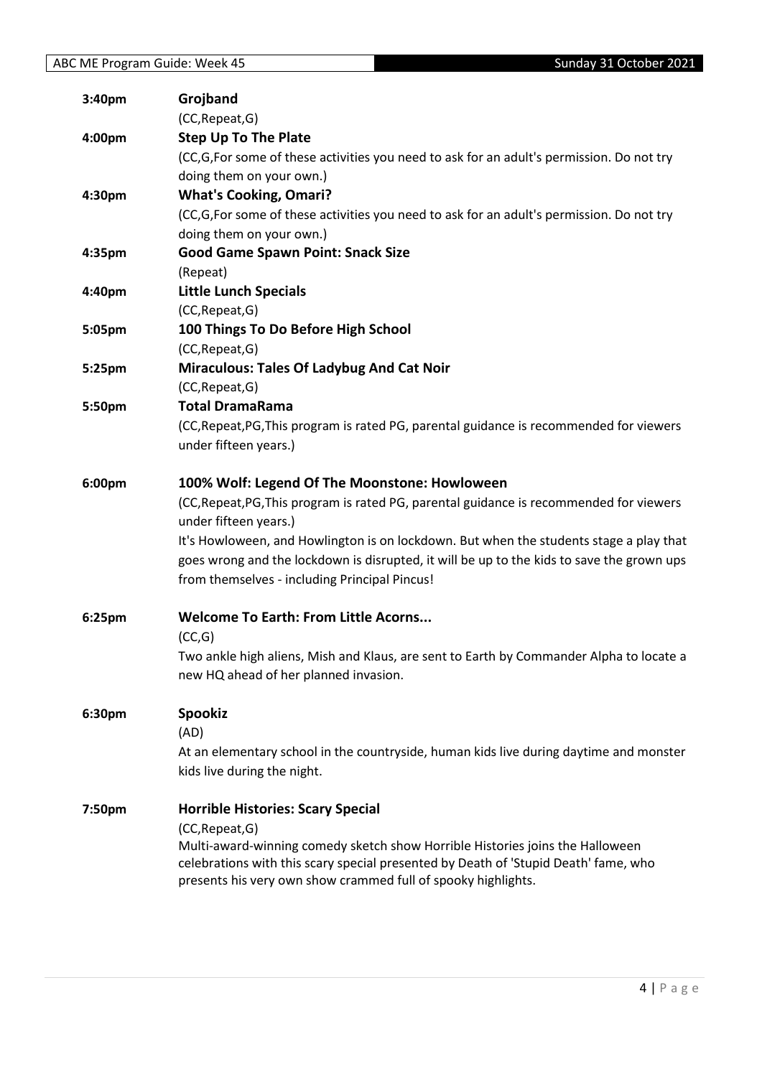| 3:40pm | Grojband                                                                                                                                             |
|--------|------------------------------------------------------------------------------------------------------------------------------------------------------|
|        | (CC, Repeat, G)                                                                                                                                      |
| 4:00pm | <b>Step Up To The Plate</b>                                                                                                                          |
|        | (CC,G,For some of these activities you need to ask for an adult's permission. Do not try                                                             |
|        | doing them on your own.)                                                                                                                             |
| 4:30pm | <b>What's Cooking, Omari?</b>                                                                                                                        |
|        | (CC,G,For some of these activities you need to ask for an adult's permission. Do not try                                                             |
|        | doing them on your own.)                                                                                                                             |
| 4:35pm | <b>Good Game Spawn Point: Snack Size</b>                                                                                                             |
|        | (Repeat)                                                                                                                                             |
| 4:40pm | <b>Little Lunch Specials</b>                                                                                                                         |
|        | (CC, Repeat, G)                                                                                                                                      |
| 5:05pm | 100 Things To Do Before High School                                                                                                                  |
|        | (CC, Repeat, G)                                                                                                                                      |
| 5:25pm | <b>Miraculous: Tales Of Ladybug And Cat Noir</b>                                                                                                     |
|        | (CC, Repeat, G)                                                                                                                                      |
| 5:50pm | <b>Total DramaRama</b>                                                                                                                               |
|        | (CC, Repeat, PG, This program is rated PG, parental guidance is recommended for viewers                                                              |
|        | under fifteen years.)                                                                                                                                |
| 6:00pm | 100% Wolf: Legend Of The Moonstone: Howloween                                                                                                        |
|        | (CC, Repeat, PG, This program is rated PG, parental guidance is recommended for viewers                                                              |
|        | under fifteen years.)                                                                                                                                |
|        | It's Howloween, and Howlington is on lockdown. But when the students stage a play that                                                               |
|        | goes wrong and the lockdown is disrupted, it will be up to the kids to save the grown ups                                                            |
|        | from themselves - including Principal Pincus!                                                                                                        |
| 6:25pm | <b>Welcome To Earth: From Little Acorns</b>                                                                                                          |
|        | (CC,G)                                                                                                                                               |
|        | Two ankle high aliens, Mish and Klaus, are sent to Earth by Commander Alpha to locate a                                                              |
|        | new HQ ahead of her planned invasion.                                                                                                                |
| 6:30pm | <b>Spookiz</b>                                                                                                                                       |
|        | (AD)                                                                                                                                                 |
|        | At an elementary school in the countryside, human kids live during daytime and monster                                                               |
|        | kids live during the night.                                                                                                                          |
| 7:50pm | <b>Horrible Histories: Scary Special</b>                                                                                                             |
|        | (CC, Repeat, G)                                                                                                                                      |
|        | Multi-award-winning comedy sketch show Horrible Histories joins the Halloween                                                                        |
|        | celebrations with this scary special presented by Death of 'Stupid Death' fame, who<br>presents his very own show crammed full of spooky highlights. |
|        |                                                                                                                                                      |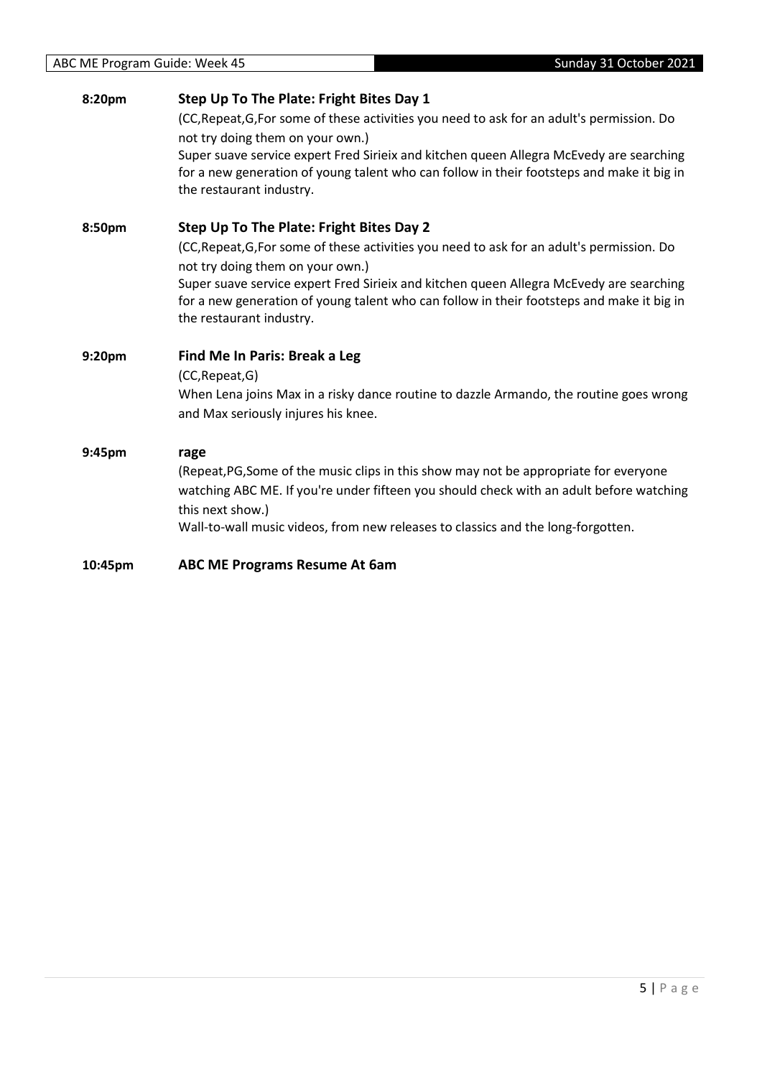| 8:20pm  | Step Up To The Plate: Fright Bites Day 1                                                                                                                                             |
|---------|--------------------------------------------------------------------------------------------------------------------------------------------------------------------------------------|
|         | (CC, Repeat, G, For some of these activities you need to ask for an adult's permission. Do                                                                                           |
|         | not try doing them on your own.)                                                                                                                                                     |
|         | Super suave service expert Fred Sirieix and kitchen queen Allegra McEvedy are searching                                                                                              |
|         | for a new generation of young talent who can follow in their footsteps and make it big in<br>the restaurant industry.                                                                |
| 8:50pm  | Step Up To The Plate: Fright Bites Day 2                                                                                                                                             |
|         | (CC, Repeat, G, For some of these activities you need to ask for an adult's permission. Do<br>not try doing them on your own.)                                                       |
|         | Super suave service expert Fred Sirieix and kitchen queen Allegra McEvedy are searching<br>for a new generation of young talent who can follow in their footsteps and make it big in |
|         | the restaurant industry.                                                                                                                                                             |
| 9:20pm  | Find Me In Paris: Break a Leg                                                                                                                                                        |
|         | (CC, Repeat, G)                                                                                                                                                                      |
|         | When Lena joins Max in a risky dance routine to dazzle Armando, the routine goes wrong                                                                                               |
|         | and Max seriously injures his knee.                                                                                                                                                  |
| 9:45pm  | rage                                                                                                                                                                                 |
|         | (Repeat, PG, Some of the music clips in this show may not be appropriate for everyone                                                                                                |
|         | watching ABC ME. If you're under fifteen you should check with an adult before watching<br>this next show.)                                                                          |
|         | Wall-to-wall music videos, from new releases to classics and the long-forgotten.                                                                                                     |
| 10:45pm | <b>ABC ME Programs Resume At 6am</b>                                                                                                                                                 |
|         |                                                                                                                                                                                      |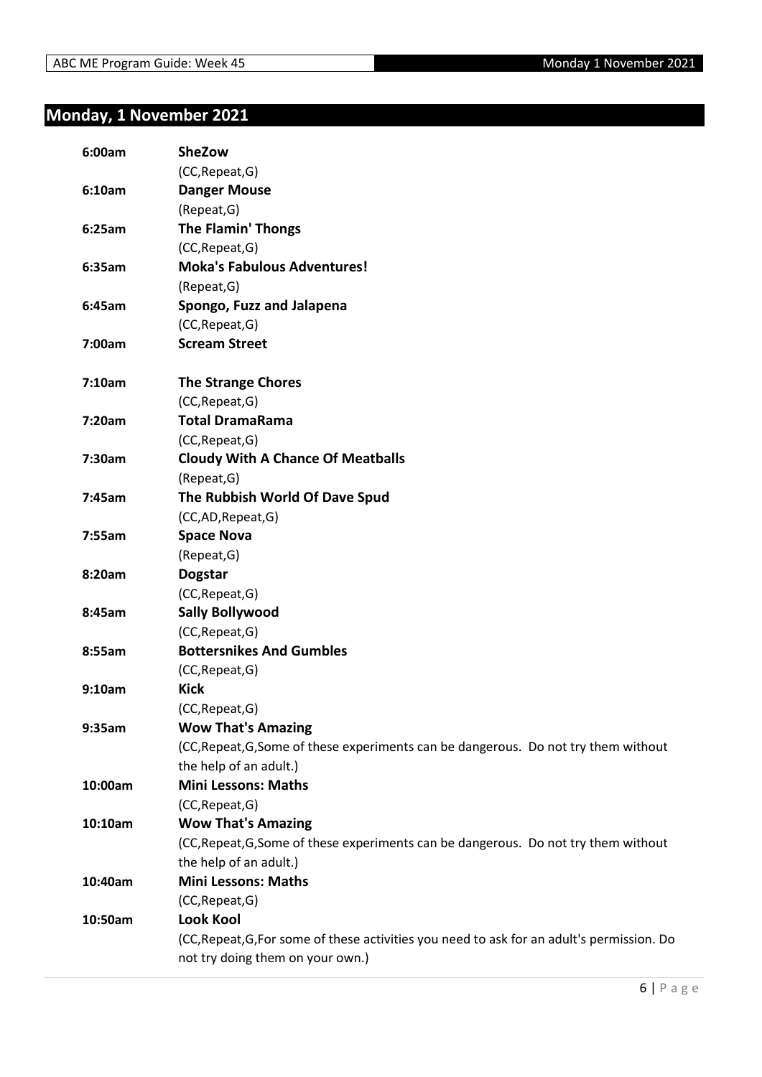### <span id="page-5-0"></span>**Monday, 1 November 2021**

| (CC, Repeat, G)<br><b>Danger Mouse</b><br>6:10am<br>(Repeat, G)<br><b>The Flamin' Thongs</b><br>6:25am<br>(CC, Repeat, G)<br><b>Moka's Fabulous Adventures!</b><br>6:35am<br>(Repeat, G)<br>Spongo, Fuzz and Jalapena<br>6:45am<br>(CC, Repeat, G)<br><b>Scream Street</b><br>7:00am<br><b>The Strange Chores</b><br>7:10am<br>(CC, Repeat, G)<br><b>Total DramaRama</b><br>7:20am<br>(CC, Repeat, G)<br><b>Cloudy With A Chance Of Meatballs</b><br>7:30am<br>(Repeat, G)<br>The Rubbish World Of Dave Spud<br>7:45am<br>(CC,AD,Repeat,G)<br><b>Space Nova</b><br>7:55am<br>(Repeat, G)<br>8:20am<br><b>Dogstar</b><br>(CC, Repeat, G)<br><b>Sally Bollywood</b><br>8:45am<br>(CC, Repeat, G)<br><b>Bottersnikes And Gumbles</b><br>8:55am<br>(CC, Repeat, G)<br><b>Kick</b><br>9:10am<br>(CC, Repeat, G)<br><b>Wow That's Amazing</b><br>9:35am<br>(CC, Repeat, G, Some of these experiments can be dangerous. Do not try them without<br>the help of an adult.)<br><b>Mini Lessons: Maths</b><br>10:00am<br>(CC, Repeat, G)<br><b>Wow That's Amazing</b><br>10:10am<br>(CC, Repeat, G, Some of these experiments can be dangerous. Do not try them without<br>the help of an adult.)<br><b>Mini Lessons: Maths</b><br>10:40am<br>(CC, Repeat, G)<br><b>Look Kool</b><br>10:50am | 6:00am | <b>SheZow</b>                                                                              |
|------------------------------------------------------------------------------------------------------------------------------------------------------------------------------------------------------------------------------------------------------------------------------------------------------------------------------------------------------------------------------------------------------------------------------------------------------------------------------------------------------------------------------------------------------------------------------------------------------------------------------------------------------------------------------------------------------------------------------------------------------------------------------------------------------------------------------------------------------------------------------------------------------------------------------------------------------------------------------------------------------------------------------------------------------------------------------------------------------------------------------------------------------------------------------------------------------------------------------------------------------------------------------------|--------|--------------------------------------------------------------------------------------------|
|                                                                                                                                                                                                                                                                                                                                                                                                                                                                                                                                                                                                                                                                                                                                                                                                                                                                                                                                                                                                                                                                                                                                                                                                                                                                                    |        |                                                                                            |
|                                                                                                                                                                                                                                                                                                                                                                                                                                                                                                                                                                                                                                                                                                                                                                                                                                                                                                                                                                                                                                                                                                                                                                                                                                                                                    |        |                                                                                            |
|                                                                                                                                                                                                                                                                                                                                                                                                                                                                                                                                                                                                                                                                                                                                                                                                                                                                                                                                                                                                                                                                                                                                                                                                                                                                                    |        |                                                                                            |
|                                                                                                                                                                                                                                                                                                                                                                                                                                                                                                                                                                                                                                                                                                                                                                                                                                                                                                                                                                                                                                                                                                                                                                                                                                                                                    |        |                                                                                            |
|                                                                                                                                                                                                                                                                                                                                                                                                                                                                                                                                                                                                                                                                                                                                                                                                                                                                                                                                                                                                                                                                                                                                                                                                                                                                                    |        |                                                                                            |
|                                                                                                                                                                                                                                                                                                                                                                                                                                                                                                                                                                                                                                                                                                                                                                                                                                                                                                                                                                                                                                                                                                                                                                                                                                                                                    |        |                                                                                            |
|                                                                                                                                                                                                                                                                                                                                                                                                                                                                                                                                                                                                                                                                                                                                                                                                                                                                                                                                                                                                                                                                                                                                                                                                                                                                                    |        |                                                                                            |
|                                                                                                                                                                                                                                                                                                                                                                                                                                                                                                                                                                                                                                                                                                                                                                                                                                                                                                                                                                                                                                                                                                                                                                                                                                                                                    |        |                                                                                            |
|                                                                                                                                                                                                                                                                                                                                                                                                                                                                                                                                                                                                                                                                                                                                                                                                                                                                                                                                                                                                                                                                                                                                                                                                                                                                                    |        |                                                                                            |
|                                                                                                                                                                                                                                                                                                                                                                                                                                                                                                                                                                                                                                                                                                                                                                                                                                                                                                                                                                                                                                                                                                                                                                                                                                                                                    |        |                                                                                            |
|                                                                                                                                                                                                                                                                                                                                                                                                                                                                                                                                                                                                                                                                                                                                                                                                                                                                                                                                                                                                                                                                                                                                                                                                                                                                                    |        |                                                                                            |
|                                                                                                                                                                                                                                                                                                                                                                                                                                                                                                                                                                                                                                                                                                                                                                                                                                                                                                                                                                                                                                                                                                                                                                                                                                                                                    |        |                                                                                            |
|                                                                                                                                                                                                                                                                                                                                                                                                                                                                                                                                                                                                                                                                                                                                                                                                                                                                                                                                                                                                                                                                                                                                                                                                                                                                                    |        |                                                                                            |
|                                                                                                                                                                                                                                                                                                                                                                                                                                                                                                                                                                                                                                                                                                                                                                                                                                                                                                                                                                                                                                                                                                                                                                                                                                                                                    |        |                                                                                            |
|                                                                                                                                                                                                                                                                                                                                                                                                                                                                                                                                                                                                                                                                                                                                                                                                                                                                                                                                                                                                                                                                                                                                                                                                                                                                                    |        |                                                                                            |
|                                                                                                                                                                                                                                                                                                                                                                                                                                                                                                                                                                                                                                                                                                                                                                                                                                                                                                                                                                                                                                                                                                                                                                                                                                                                                    |        |                                                                                            |
|                                                                                                                                                                                                                                                                                                                                                                                                                                                                                                                                                                                                                                                                                                                                                                                                                                                                                                                                                                                                                                                                                                                                                                                                                                                                                    |        |                                                                                            |
|                                                                                                                                                                                                                                                                                                                                                                                                                                                                                                                                                                                                                                                                                                                                                                                                                                                                                                                                                                                                                                                                                                                                                                                                                                                                                    |        |                                                                                            |
|                                                                                                                                                                                                                                                                                                                                                                                                                                                                                                                                                                                                                                                                                                                                                                                                                                                                                                                                                                                                                                                                                                                                                                                                                                                                                    |        |                                                                                            |
|                                                                                                                                                                                                                                                                                                                                                                                                                                                                                                                                                                                                                                                                                                                                                                                                                                                                                                                                                                                                                                                                                                                                                                                                                                                                                    |        |                                                                                            |
|                                                                                                                                                                                                                                                                                                                                                                                                                                                                                                                                                                                                                                                                                                                                                                                                                                                                                                                                                                                                                                                                                                                                                                                                                                                                                    |        |                                                                                            |
|                                                                                                                                                                                                                                                                                                                                                                                                                                                                                                                                                                                                                                                                                                                                                                                                                                                                                                                                                                                                                                                                                                                                                                                                                                                                                    |        |                                                                                            |
|                                                                                                                                                                                                                                                                                                                                                                                                                                                                                                                                                                                                                                                                                                                                                                                                                                                                                                                                                                                                                                                                                                                                                                                                                                                                                    |        |                                                                                            |
|                                                                                                                                                                                                                                                                                                                                                                                                                                                                                                                                                                                                                                                                                                                                                                                                                                                                                                                                                                                                                                                                                                                                                                                                                                                                                    |        |                                                                                            |
|                                                                                                                                                                                                                                                                                                                                                                                                                                                                                                                                                                                                                                                                                                                                                                                                                                                                                                                                                                                                                                                                                                                                                                                                                                                                                    |        |                                                                                            |
|                                                                                                                                                                                                                                                                                                                                                                                                                                                                                                                                                                                                                                                                                                                                                                                                                                                                                                                                                                                                                                                                                                                                                                                                                                                                                    |        |                                                                                            |
|                                                                                                                                                                                                                                                                                                                                                                                                                                                                                                                                                                                                                                                                                                                                                                                                                                                                                                                                                                                                                                                                                                                                                                                                                                                                                    |        |                                                                                            |
|                                                                                                                                                                                                                                                                                                                                                                                                                                                                                                                                                                                                                                                                                                                                                                                                                                                                                                                                                                                                                                                                                                                                                                                                                                                                                    |        |                                                                                            |
|                                                                                                                                                                                                                                                                                                                                                                                                                                                                                                                                                                                                                                                                                                                                                                                                                                                                                                                                                                                                                                                                                                                                                                                                                                                                                    |        |                                                                                            |
|                                                                                                                                                                                                                                                                                                                                                                                                                                                                                                                                                                                                                                                                                                                                                                                                                                                                                                                                                                                                                                                                                                                                                                                                                                                                                    |        |                                                                                            |
|                                                                                                                                                                                                                                                                                                                                                                                                                                                                                                                                                                                                                                                                                                                                                                                                                                                                                                                                                                                                                                                                                                                                                                                                                                                                                    |        |                                                                                            |
|                                                                                                                                                                                                                                                                                                                                                                                                                                                                                                                                                                                                                                                                                                                                                                                                                                                                                                                                                                                                                                                                                                                                                                                                                                                                                    |        |                                                                                            |
|                                                                                                                                                                                                                                                                                                                                                                                                                                                                                                                                                                                                                                                                                                                                                                                                                                                                                                                                                                                                                                                                                                                                                                                                                                                                                    |        |                                                                                            |
|                                                                                                                                                                                                                                                                                                                                                                                                                                                                                                                                                                                                                                                                                                                                                                                                                                                                                                                                                                                                                                                                                                                                                                                                                                                                                    |        |                                                                                            |
|                                                                                                                                                                                                                                                                                                                                                                                                                                                                                                                                                                                                                                                                                                                                                                                                                                                                                                                                                                                                                                                                                                                                                                                                                                                                                    |        |                                                                                            |
|                                                                                                                                                                                                                                                                                                                                                                                                                                                                                                                                                                                                                                                                                                                                                                                                                                                                                                                                                                                                                                                                                                                                                                                                                                                                                    |        |                                                                                            |
|                                                                                                                                                                                                                                                                                                                                                                                                                                                                                                                                                                                                                                                                                                                                                                                                                                                                                                                                                                                                                                                                                                                                                                                                                                                                                    |        |                                                                                            |
|                                                                                                                                                                                                                                                                                                                                                                                                                                                                                                                                                                                                                                                                                                                                                                                                                                                                                                                                                                                                                                                                                                                                                                                                                                                                                    |        |                                                                                            |
|                                                                                                                                                                                                                                                                                                                                                                                                                                                                                                                                                                                                                                                                                                                                                                                                                                                                                                                                                                                                                                                                                                                                                                                                                                                                                    |        |                                                                                            |
|                                                                                                                                                                                                                                                                                                                                                                                                                                                                                                                                                                                                                                                                                                                                                                                                                                                                                                                                                                                                                                                                                                                                                                                                                                                                                    |        | (CC, Repeat, G, For some of these activities you need to ask for an adult's permission. Do |
|                                                                                                                                                                                                                                                                                                                                                                                                                                                                                                                                                                                                                                                                                                                                                                                                                                                                                                                                                                                                                                                                                                                                                                                                                                                                                    |        | not try doing them on your own.)                                                           |
|                                                                                                                                                                                                                                                                                                                                                                                                                                                                                                                                                                                                                                                                                                                                                                                                                                                                                                                                                                                                                                                                                                                                                                                                                                                                                    |        |                                                                                            |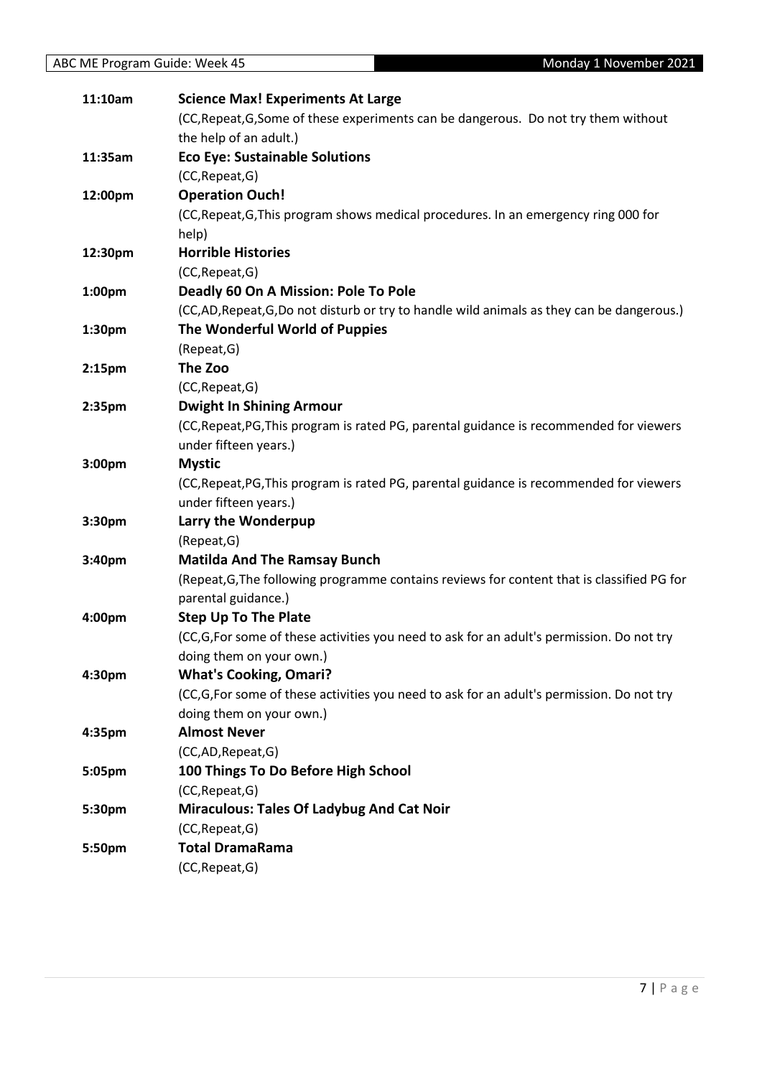| 11:10am            | <b>Science Max! Experiments At Large</b>                                                   |
|--------------------|--------------------------------------------------------------------------------------------|
|                    | (CC, Repeat, G, Some of these experiments can be dangerous. Do not try them without        |
|                    | the help of an adult.)                                                                     |
| 11:35am            | <b>Eco Eye: Sustainable Solutions</b>                                                      |
|                    | (CC, Repeat, G)                                                                            |
| 12:00pm            | <b>Operation Ouch!</b>                                                                     |
|                    | (CC, Repeat, G, This program shows medical procedures. In an emergency ring 000 for        |
|                    | help)                                                                                      |
| 12:30pm            | <b>Horrible Histories</b>                                                                  |
|                    | (CC, Repeat, G)                                                                            |
| 1:00pm             | Deadly 60 On A Mission: Pole To Pole                                                       |
|                    | (CC,AD, Repeat, G,Do not disturb or try to handle wild animals as they can be dangerous.)  |
| 1:30pm             | The Wonderful World of Puppies                                                             |
|                    | (Repeat, G)                                                                                |
| 2:15 <sub>pm</sub> | The Zoo                                                                                    |
|                    | (CC, Repeat, G)                                                                            |
| 2:35pm             | <b>Dwight In Shining Armour</b>                                                            |
|                    | (CC, Repeat, PG, This program is rated PG, parental guidance is recommended for viewers    |
|                    | under fifteen years.)                                                                      |
| 3:00pm             | <b>Mystic</b>                                                                              |
|                    | (CC, Repeat, PG, This program is rated PG, parental guidance is recommended for viewers    |
|                    | under fifteen years.)                                                                      |
| 3:30pm             | Larry the Wonderpup                                                                        |
|                    | (Repeat, G)                                                                                |
| 3:40pm             | <b>Matilda And The Ramsay Bunch</b>                                                        |
|                    | (Repeat, G, The following programme contains reviews for content that is classified PG for |
|                    | parental guidance.)                                                                        |
| 4:00pm             | <b>Step Up To The Plate</b>                                                                |
|                    | (CC,G,For some of these activities you need to ask for an adult's permission. Do not try   |
|                    | doing them on your own.)                                                                   |
| 4:30pm             | <b>What's Cooking, Omari?</b>                                                              |
|                    | (CC,G,For some of these activities you need to ask for an adult's permission. Do not try   |
|                    | doing them on your own.)                                                                   |
| 4:35pm             | <b>Almost Never</b>                                                                        |
|                    | (CC,AD,Repeat,G)                                                                           |
| 5:05pm             | 100 Things To Do Before High School                                                        |
|                    | (CC, Repeat, G)                                                                            |
| 5:30pm             | <b>Miraculous: Tales Of Ladybug And Cat Noir</b>                                           |
|                    | (CC, Repeat, G)                                                                            |
| 5:50pm             | <b>Total DramaRama</b>                                                                     |
|                    | (CC, Repeat, G)                                                                            |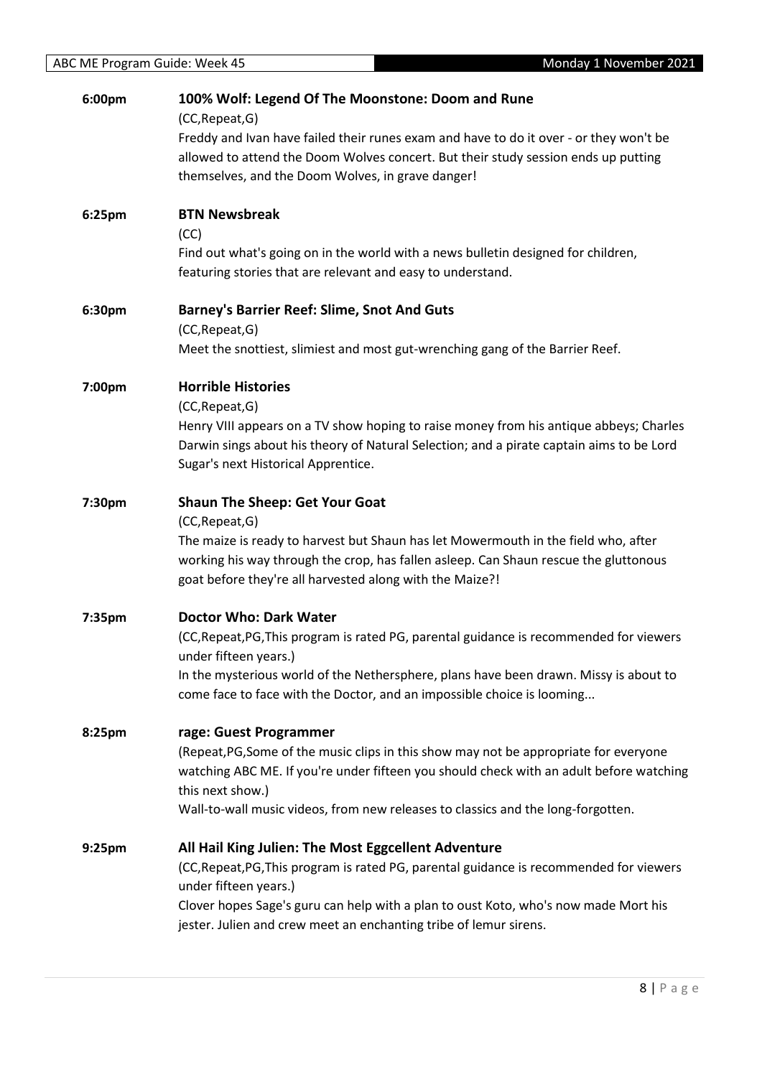| 6:00pm | 100% Wolf: Legend Of The Moonstone: Doom and Rune<br>(CC, Repeat, G)                                                                                                                                                              |
|--------|-----------------------------------------------------------------------------------------------------------------------------------------------------------------------------------------------------------------------------------|
|        | Freddy and Ivan have failed their runes exam and have to do it over - or they won't be<br>allowed to attend the Doom Wolves concert. But their study session ends up putting<br>themselves, and the Doom Wolves, in grave danger! |
| 6:25pm | <b>BTN Newsbreak</b><br>(CC)                                                                                                                                                                                                      |
|        | Find out what's going on in the world with a news bulletin designed for children,<br>featuring stories that are relevant and easy to understand.                                                                                  |
| 6:30pm | <b>Barney's Barrier Reef: Slime, Snot And Guts</b><br>(CC, Repeat, G)                                                                                                                                                             |
|        | Meet the snottiest, slimiest and most gut-wrenching gang of the Barrier Reef.                                                                                                                                                     |
| 7:00pm | <b>Horrible Histories</b>                                                                                                                                                                                                         |
|        | (CC, Repeat, G)                                                                                                                                                                                                                   |
|        | Henry VIII appears on a TV show hoping to raise money from his antique abbeys; Charles<br>Darwin sings about his theory of Natural Selection; and a pirate captain aims to be Lord<br>Sugar's next Historical Apprentice.         |
| 7:30pm | <b>Shaun The Sheep: Get Your Goat</b>                                                                                                                                                                                             |
|        | (CC, Repeat, G)<br>The maize is ready to harvest but Shaun has let Mowermouth in the field who, after                                                                                                                             |
|        | working his way through the crop, has fallen asleep. Can Shaun rescue the gluttonous<br>goat before they're all harvested along with the Maize?!                                                                                  |
| 7:35pm | <b>Doctor Who: Dark Water</b>                                                                                                                                                                                                     |
|        | (CC, Repeat, PG, This program is rated PG, parental guidance is recommended for viewers<br>under fifteen years.)                                                                                                                  |
|        | In the mysterious world of the Nethersphere, plans have been drawn. Missy is about to<br>come face to face with the Doctor, and an impossible choice is looming                                                                   |
| 8:25pm | rage: Guest Programmer                                                                                                                                                                                                            |
|        | (Repeat, PG, Some of the music clips in this show may not be appropriate for everyone                                                                                                                                             |
|        | watching ABC ME. If you're under fifteen you should check with an adult before watching<br>this next show.)                                                                                                                       |
|        | Wall-to-wall music videos, from new releases to classics and the long-forgotten.                                                                                                                                                  |
| 9:25pm | All Hail King Julien: The Most Eggcellent Adventure                                                                                                                                                                               |
|        | (CC, Repeat, PG, This program is rated PG, parental guidance is recommended for viewers<br>under fifteen years.)                                                                                                                  |
|        | Clover hopes Sage's guru can help with a plan to oust Koto, who's now made Mort his<br>jester. Julien and crew meet an enchanting tribe of lemur sirens.                                                                          |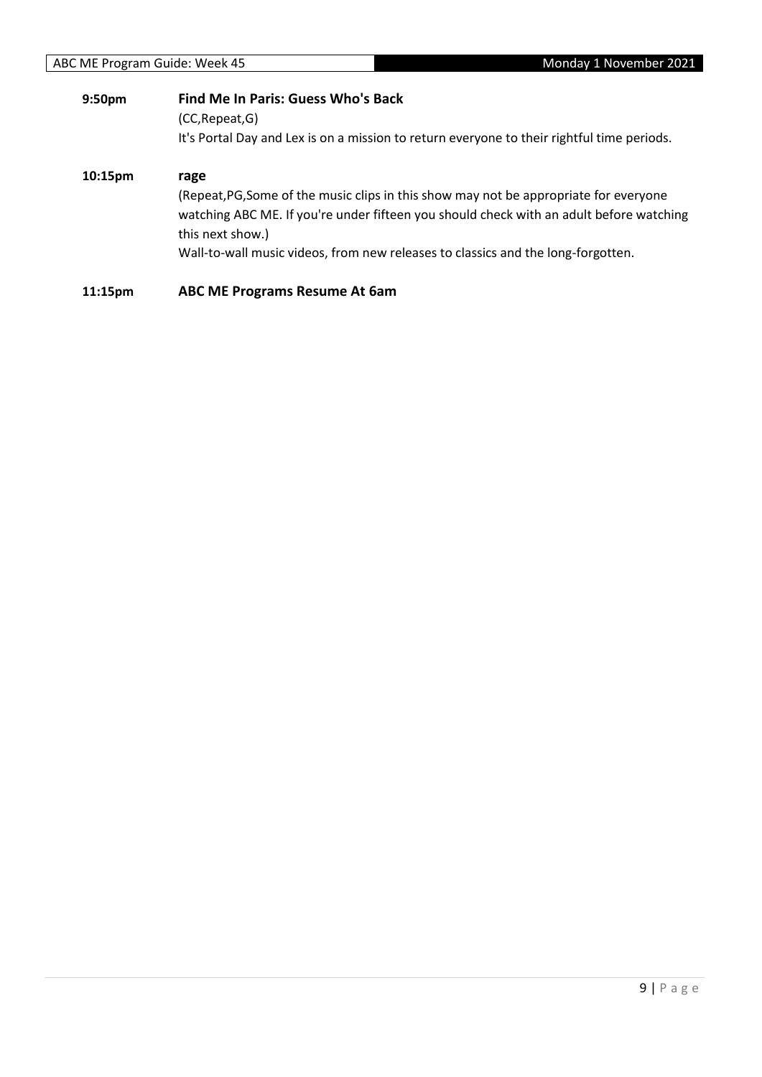| 9:50pm  | <b>Find Me In Paris: Guess Who's Back</b><br>(CC, Repeat, G)                                                                                                                                                                                                                                     |
|---------|--------------------------------------------------------------------------------------------------------------------------------------------------------------------------------------------------------------------------------------------------------------------------------------------------|
|         | It's Portal Day and Lex is on a mission to return everyone to their rightful time periods.                                                                                                                                                                                                       |
| 10:15pm | rage<br>(Repeat, PG, Some of the music clips in this show may not be appropriate for everyone<br>watching ABC ME. If you're under fifteen you should check with an adult before watching<br>this next show.)<br>Wall-to-wall music videos, from new releases to classics and the long-forgotten. |
| 11:15pm | <b>ABC ME Programs Resume At 6am</b>                                                                                                                                                                                                                                                             |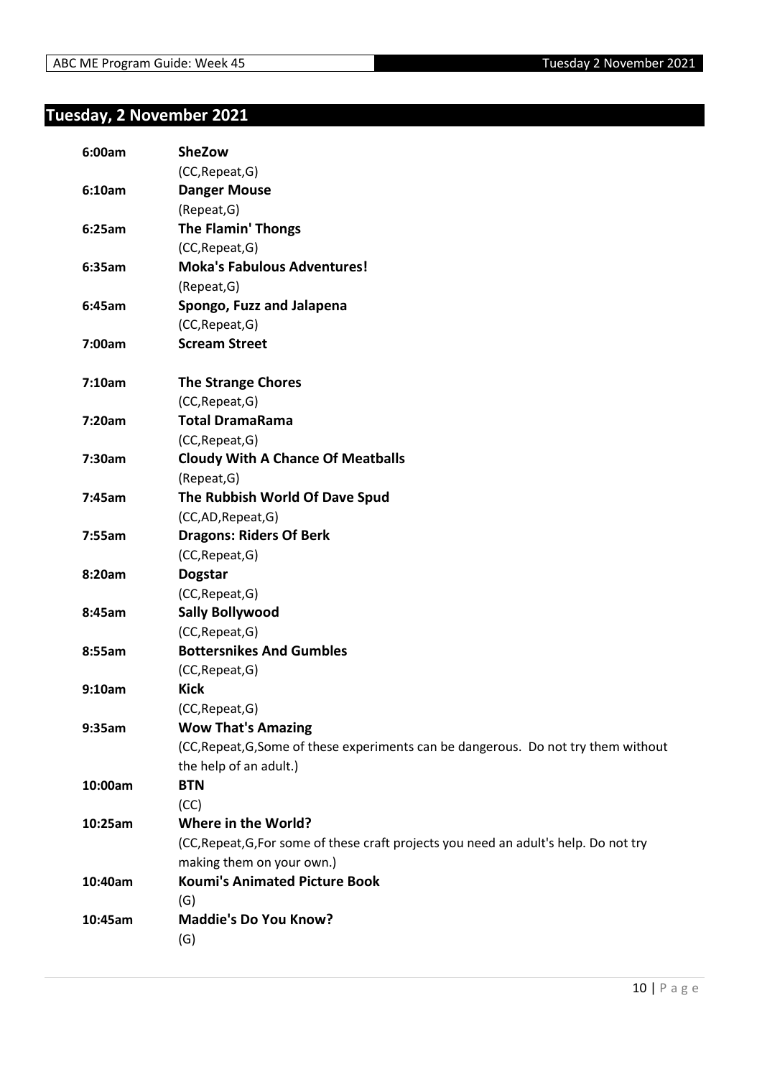### <span id="page-9-0"></span>**Tuesday, 2 November 2021**

| 6:00am  | SheZow                                                                                |
|---------|---------------------------------------------------------------------------------------|
|         | (CC, Repeat, G)                                                                       |
| 6:10am  | <b>Danger Mouse</b>                                                                   |
|         | (Repeat, G)                                                                           |
| 6:25am  | <b>The Flamin' Thongs</b>                                                             |
|         | (CC, Repeat, G)                                                                       |
| 6:35am  | <b>Moka's Fabulous Adventures!</b>                                                    |
|         | (Repeat, G)                                                                           |
| 6:45am  | Spongo, Fuzz and Jalapena                                                             |
|         | (CC, Repeat, G)                                                                       |
| 7:00am  | <b>Scream Street</b>                                                                  |
| 7:10am  | <b>The Strange Chores</b>                                                             |
|         | (CC, Repeat, G)                                                                       |
| 7:20am  | <b>Total DramaRama</b>                                                                |
|         | (CC, Repeat, G)                                                                       |
| 7:30am  | <b>Cloudy With A Chance Of Meatballs</b>                                              |
|         | (Repeat, G)                                                                           |
| 7:45am  | The Rubbish World Of Dave Spud                                                        |
|         | (CC,AD,Repeat,G)                                                                      |
| 7:55am  | <b>Dragons: Riders Of Berk</b>                                                        |
|         | (CC, Repeat, G)                                                                       |
| 8:20am  | <b>Dogstar</b>                                                                        |
|         | (CC, Repeat, G)                                                                       |
| 8:45am  | <b>Sally Bollywood</b>                                                                |
|         | (CC, Repeat, G)                                                                       |
| 8:55am  | <b>Bottersnikes And Gumbles</b>                                                       |
|         | (CC, Repeat, G)                                                                       |
| 9:10am  | <b>Kick</b>                                                                           |
|         | (CC, Repeat, G)                                                                       |
| 9:35am  | <b>Wow That's Amazing</b>                                                             |
|         | (CC, Repeat, G, Some of these experiments can be dangerous. Do not try them without   |
|         | the help of an adult.)                                                                |
| 10:00am | <b>BTN</b>                                                                            |
|         | (CC)                                                                                  |
| 10:25am | Where in the World?                                                                   |
|         | (CC, Repeat, G, For some of these craft projects you need an adult's help. Do not try |
|         | making them on your own.)                                                             |
| 10:40am | <b>Koumi's Animated Picture Book</b>                                                  |
|         | (G)                                                                                   |
| 10:45am | <b>Maddie's Do You Know?</b>                                                          |
|         | (G)                                                                                   |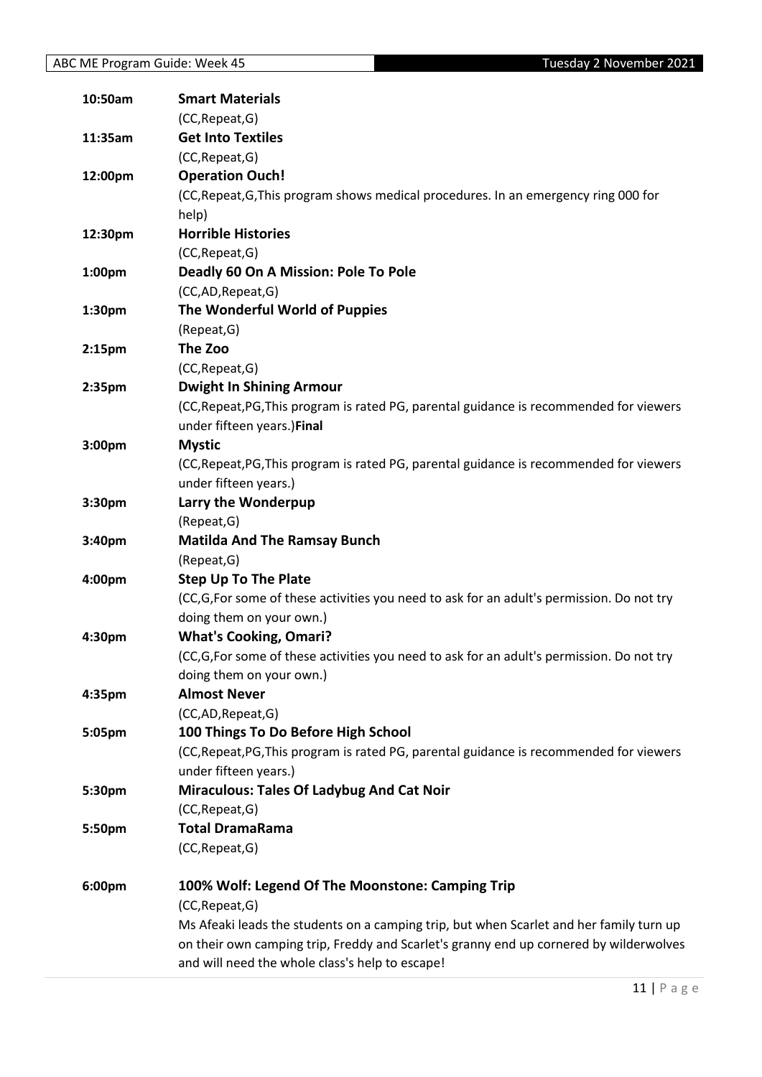| 10:50am            | <b>Smart Materials</b>                                                                   |
|--------------------|------------------------------------------------------------------------------------------|
|                    | (CC, Repeat, G)                                                                          |
| 11:35am            | <b>Get Into Textiles</b>                                                                 |
|                    | (CC, Repeat, G)                                                                          |
| 12:00pm            | <b>Operation Ouch!</b>                                                                   |
|                    | (CC, Repeat, G, This program shows medical procedures. In an emergency ring 000 for      |
|                    | help)                                                                                    |
| 12:30pm            | <b>Horrible Histories</b>                                                                |
|                    | (CC, Repeat, G)                                                                          |
| 1:00pm             | Deadly 60 On A Mission: Pole To Pole                                                     |
|                    | (CC,AD,Repeat,G)                                                                         |
| 1:30pm             | The Wonderful World of Puppies                                                           |
|                    |                                                                                          |
|                    | (Repeat, G)                                                                              |
| 2:15 <sub>pm</sub> | The Zoo                                                                                  |
|                    | (CC, Repeat, G)                                                                          |
| 2:35 <sub>pm</sub> | <b>Dwight In Shining Armour</b>                                                          |
|                    | (CC, Repeat, PG, This program is rated PG, parental guidance is recommended for viewers  |
|                    | under fifteen years.)Final                                                               |
| 3:00pm             | <b>Mystic</b>                                                                            |
|                    | (CC, Repeat, PG, This program is rated PG, parental guidance is recommended for viewers  |
|                    | under fifteen years.)                                                                    |
| 3:30pm             | Larry the Wonderpup                                                                      |
|                    | (Repeat, G)                                                                              |
| 3:40pm             | <b>Matilda And The Ramsay Bunch</b>                                                      |
|                    | (Repeat, G)                                                                              |
| 4:00pm             | <b>Step Up To The Plate</b>                                                              |
|                    | (CC,G,For some of these activities you need to ask for an adult's permission. Do not try |
|                    | doing them on your own.)                                                                 |
| 4:30pm             | <b>What's Cooking, Omari?</b>                                                            |
|                    | (CC,G,For some of these activities you need to ask for an adult's permission. Do not try |
|                    | doing them on your own.)                                                                 |
| 4:35pm             | <b>Almost Never</b>                                                                      |
|                    | (CC,AD,Repeat,G)                                                                         |
| 5:05pm             | 100 Things To Do Before High School                                                      |
|                    | (CC, Repeat, PG, This program is rated PG, parental guidance is recommended for viewers  |
|                    | under fifteen years.)                                                                    |
| 5:30pm             | <b>Miraculous: Tales Of Ladybug And Cat Noir</b>                                         |
|                    | (CC, Repeat, G)                                                                          |
|                    | <b>Total DramaRama</b>                                                                   |
| 5:50pm             |                                                                                          |
|                    | (CC, Repeat, G)                                                                          |
| 6:00pm             | 100% Wolf: Legend Of The Moonstone: Camping Trip                                         |
|                    | (CC, Repeat, G)                                                                          |
|                    | Ms Afeaki leads the students on a camping trip, but when Scarlet and her family turn up  |
|                    | on their own camping trip, Freddy and Scarlet's granny end up cornered by wilderwolves   |
|                    | and will need the whole class's help to escape!                                          |
|                    |                                                                                          |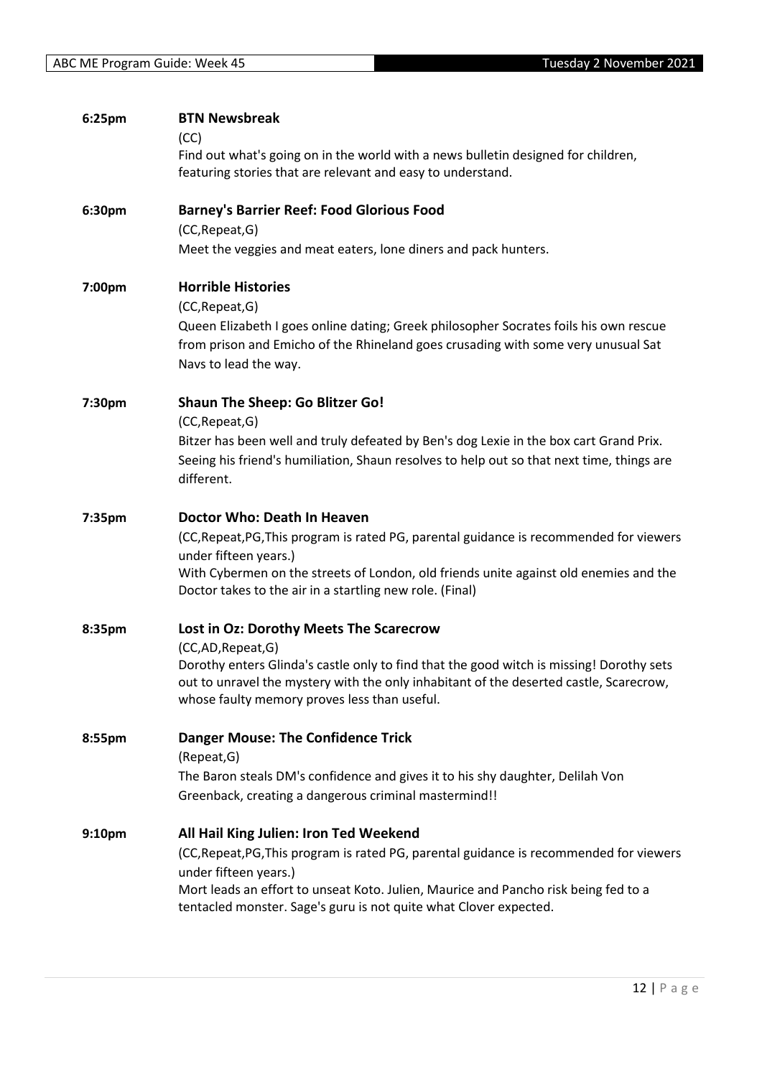| 6:25pm | <b>BTN Newsbreak</b><br>(CC)<br>Find out what's going on in the world with a news bulletin designed for children,                                                                                                                  |
|--------|------------------------------------------------------------------------------------------------------------------------------------------------------------------------------------------------------------------------------------|
|        | featuring stories that are relevant and easy to understand.                                                                                                                                                                        |
| 6:30pm | <b>Barney's Barrier Reef: Food Glorious Food</b>                                                                                                                                                                                   |
|        | (CC, Repeat, G)<br>Meet the veggies and meat eaters, lone diners and pack hunters.                                                                                                                                                 |
| 7:00pm | <b>Horrible Histories</b><br>(CC, Repeat, G)                                                                                                                                                                                       |
|        | Queen Elizabeth I goes online dating; Greek philosopher Socrates foils his own rescue<br>from prison and Emicho of the Rhineland goes crusading with some very unusual Sat<br>Navs to lead the way.                                |
| 7:30pm | <b>Shaun The Sheep: Go Blitzer Go!</b><br>(CC, Repeat, G)                                                                                                                                                                          |
|        | Bitzer has been well and truly defeated by Ben's dog Lexie in the box cart Grand Prix.<br>Seeing his friend's humiliation, Shaun resolves to help out so that next time, things are<br>different.                                  |
| 7:35pm | Doctor Who: Death In Heaven                                                                                                                                                                                                        |
|        | (CC, Repeat, PG, This program is rated PG, parental guidance is recommended for viewers<br>under fifteen years.)                                                                                                                   |
|        | With Cybermen on the streets of London, old friends unite against old enemies and the<br>Doctor takes to the air in a startling new role. (Final)                                                                                  |
| 8:35pm | Lost in Oz: Dorothy Meets The Scarecrow<br>(CC,AD,Repeat,G)                                                                                                                                                                        |
|        | Dorothy enters Glinda's castle only to find that the good witch is missing! Dorothy sets<br>out to unravel the mystery with the only inhabitant of the deserted castle, Scarecrow,<br>whose faulty memory proves less than useful. |
| 8:55pm | <b>Danger Mouse: The Confidence Trick</b><br>(Repeat, G)                                                                                                                                                                           |
|        | The Baron steals DM's confidence and gives it to his shy daughter, Delilah Von<br>Greenback, creating a dangerous criminal mastermind!!                                                                                            |
| 9:10pm | All Hail King Julien: Iron Ted Weekend                                                                                                                                                                                             |
|        | (CC, Repeat, PG, This program is rated PG, parental guidance is recommended for viewers<br>under fifteen years.)                                                                                                                   |
|        | Mort leads an effort to unseat Koto. Julien, Maurice and Pancho risk being fed to a<br>tentacled monster. Sage's guru is not quite what Clover expected.                                                                           |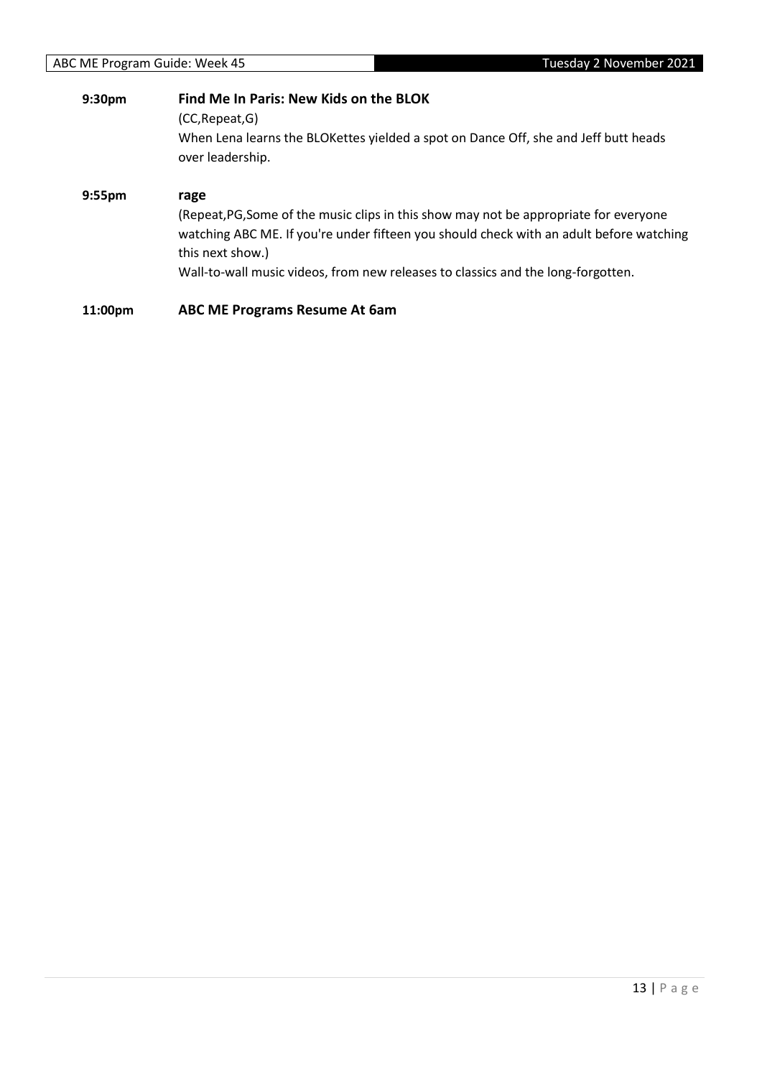| 9:30pm             | Find Me In Paris: New Kids on the BLOK<br>(CC, Repeat, G)<br>When Lena learns the BLOKettes yielded a spot on Dance Off, she and Jeff butt heads<br>over leadership.                                                                                                                             |
|--------------------|--------------------------------------------------------------------------------------------------------------------------------------------------------------------------------------------------------------------------------------------------------------------------------------------------|
| 9:55 <sub>pm</sub> | rage<br>(Repeat, PG, Some of the music clips in this show may not be appropriate for everyone<br>watching ABC ME. If you're under fifteen you should check with an adult before watching<br>this next show.)<br>Wall-to-wall music videos, from new releases to classics and the long-forgotten. |
| 11:00pm            | <b>ABC ME Programs Resume At 6am</b>                                                                                                                                                                                                                                                             |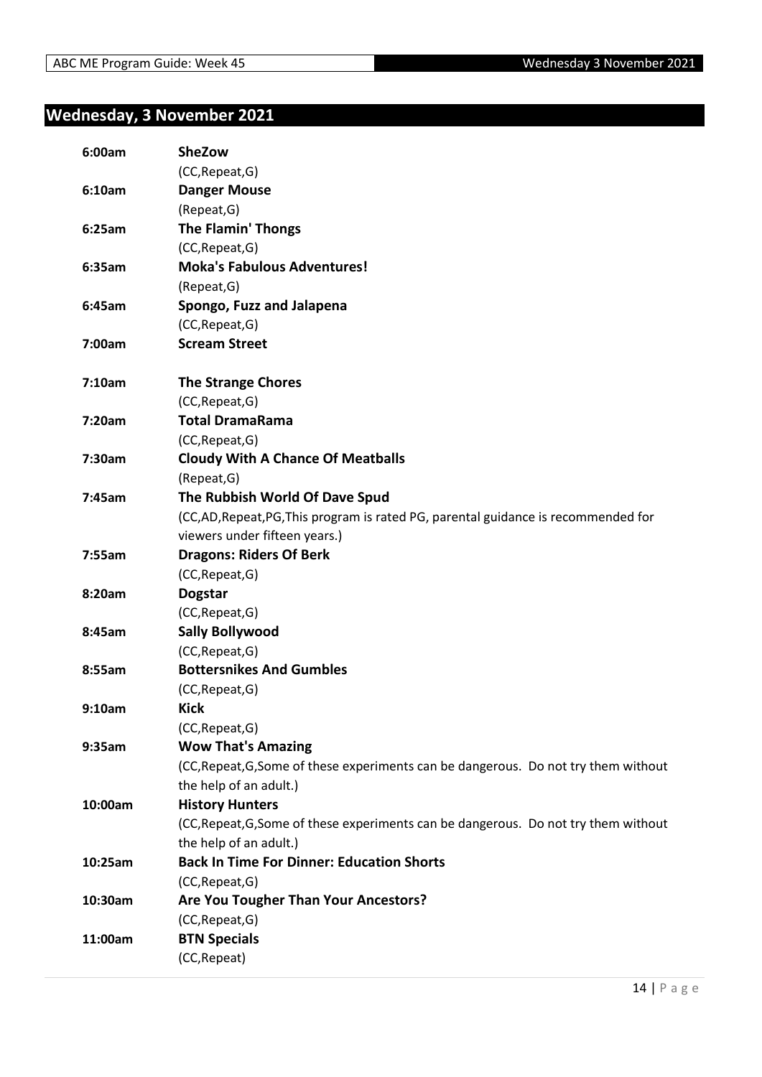#### <span id="page-13-0"></span>**Wednesday, 3 November 2021**

| 6:00am  | <b>SheZow</b>                                                                       |
|---------|-------------------------------------------------------------------------------------|
|         | (CC, Repeat, G)                                                                     |
| 6:10am  | <b>Danger Mouse</b>                                                                 |
|         | (Repeat, G)                                                                         |
| 6:25am  | <b>The Flamin' Thongs</b>                                                           |
|         | (CC, Repeat, G)                                                                     |
| 6:35am  | <b>Moka's Fabulous Adventures!</b>                                                  |
|         | (Repeat, G)                                                                         |
| 6:45am  | Spongo, Fuzz and Jalapena                                                           |
|         | (CC, Repeat, G)                                                                     |
| 7:00am  | <b>Scream Street</b>                                                                |
| 7:10am  | <b>The Strange Chores</b>                                                           |
|         | (CC, Repeat, G)                                                                     |
| 7:20am  | <b>Total DramaRama</b>                                                              |
|         | (CC, Repeat, G)                                                                     |
| 7:30am  | <b>Cloudy With A Chance Of Meatballs</b>                                            |
|         | (Repeat, G)                                                                         |
| 7:45am  | The Rubbish World Of Dave Spud                                                      |
|         | (CC,AD, Repeat, PG, This program is rated PG, parental guidance is recommended for  |
|         | viewers under fifteen years.)                                                       |
| 7:55am  | <b>Dragons: Riders Of Berk</b>                                                      |
|         | (CC, Repeat, G)                                                                     |
| 8:20am  | <b>Dogstar</b>                                                                      |
|         | (CC, Repeat, G)                                                                     |
| 8:45am  | <b>Sally Bollywood</b>                                                              |
|         | (CC, Repeat, G)                                                                     |
| 8:55am  | <b>Bottersnikes And Gumbles</b>                                                     |
|         | (CC, Repeat, G)                                                                     |
| 9:10am  | <b>Kick</b>                                                                         |
|         | (CC, Repeat, G)                                                                     |
| 9:35am  | <b>Wow That's Amazing</b>                                                           |
|         | (CC, Repeat, G, Some of these experiments can be dangerous. Do not try them without |
|         | the help of an adult.)                                                              |
| 10:00am | <b>History Hunters</b>                                                              |
|         | (CC, Repeat, G, Some of these experiments can be dangerous. Do not try them without |
|         | the help of an adult.)                                                              |
| 10:25am | <b>Back In Time For Dinner: Education Shorts</b>                                    |
|         | (CC, Repeat, G)                                                                     |
| 10:30am | Are You Tougher Than Your Ancestors?                                                |
|         | (CC, Repeat, G)                                                                     |
| 11:00am | <b>BTN Specials</b>                                                                 |
|         | (CC, Repeat)                                                                        |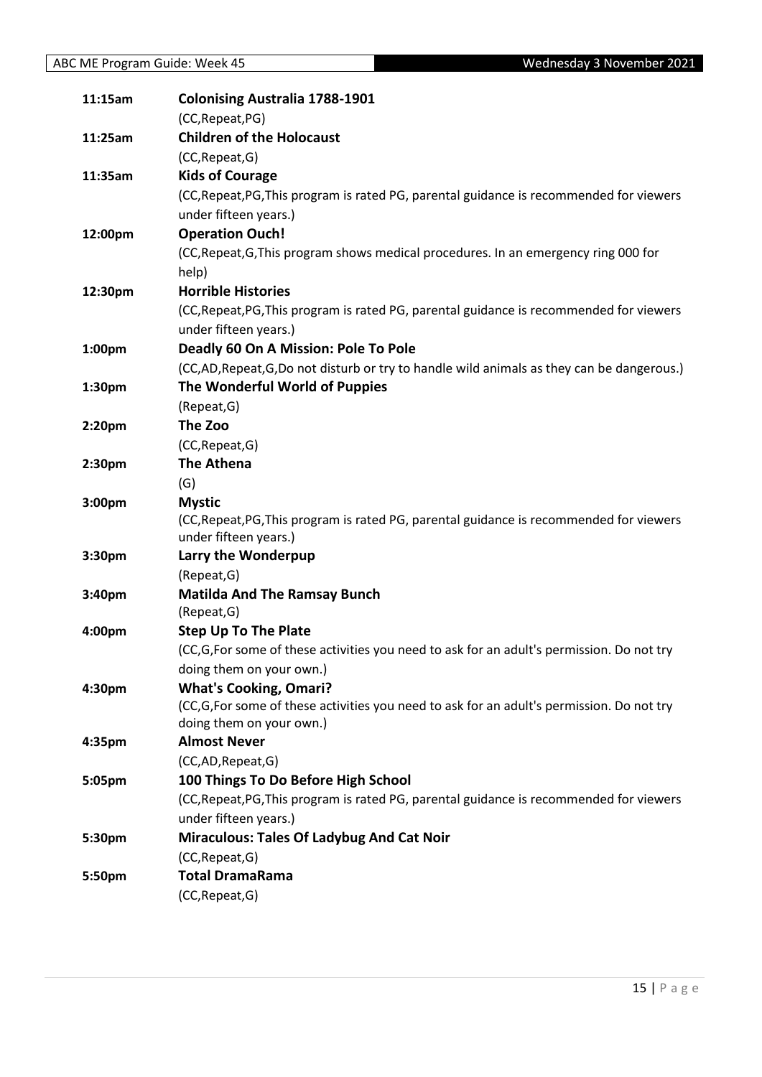| 11:15am            | <b>Colonising Australia 1788-1901</b>                                                     |
|--------------------|-------------------------------------------------------------------------------------------|
|                    | (CC, Repeat, PG)                                                                          |
| 11:25am            | <b>Children of the Holocaust</b>                                                          |
|                    | (CC, Repeat, G)                                                                           |
| 11:35am            | <b>Kids of Courage</b>                                                                    |
|                    | (CC, Repeat, PG, This program is rated PG, parental guidance is recommended for viewers   |
|                    | under fifteen years.)                                                                     |
| 12:00pm            | <b>Operation Ouch!</b>                                                                    |
|                    | (CC, Repeat, G, This program shows medical procedures. In an emergency ring 000 for       |
|                    | help)                                                                                     |
| 12:30pm            | <b>Horrible Histories</b>                                                                 |
|                    | (CC, Repeat, PG, This program is rated PG, parental guidance is recommended for viewers   |
|                    | under fifteen years.)                                                                     |
| 1:00 <sub>pm</sub> | Deadly 60 On A Mission: Pole To Pole                                                      |
|                    | (CC,AD, Repeat, G,Do not disturb or try to handle wild animals as they can be dangerous.) |
| 1:30pm             | The Wonderful World of Puppies                                                            |
|                    | (Repeat, G)                                                                               |
| 2:20pm             | The Zoo                                                                                   |
|                    | (CC, Repeat, G)                                                                           |
| 2:30pm             | <b>The Athena</b>                                                                         |
|                    | (G)                                                                                       |
| 3:00pm             | <b>Mystic</b>                                                                             |
|                    | (CC, Repeat, PG, This program is rated PG, parental guidance is recommended for viewers   |
|                    | under fifteen years.)                                                                     |
| 3:30pm             | Larry the Wonderpup<br>(Repeat, G)                                                        |
| 3:40pm             | <b>Matilda And The Ramsay Bunch</b>                                                       |
|                    | (Repeat, G)                                                                               |
| 4:00pm             | <b>Step Up To The Plate</b>                                                               |
|                    | (CC,G,For some of these activities you need to ask for an adult's permission. Do not try  |
|                    | doing them on your own.)                                                                  |
| 4:30pm             | <b>What's Cooking, Omari?</b>                                                             |
|                    | (CC,G,For some of these activities you need to ask for an adult's permission. Do not try  |
|                    | doing them on your own.)                                                                  |
| 4:35pm             | <b>Almost Never</b>                                                                       |
|                    | (CC,AD,Repeat,G)                                                                          |
| 5:05pm             | 100 Things To Do Before High School                                                       |
|                    | (CC, Repeat, PG, This program is rated PG, parental guidance is recommended for viewers   |
|                    | under fifteen years.)                                                                     |
| 5:30pm             | <b>Miraculous: Tales Of Ladybug And Cat Noir</b>                                          |
|                    | (CC, Repeat, G)                                                                           |
| 5:50pm             | <b>Total DramaRama</b>                                                                    |
|                    | (CC, Repeat, G)                                                                           |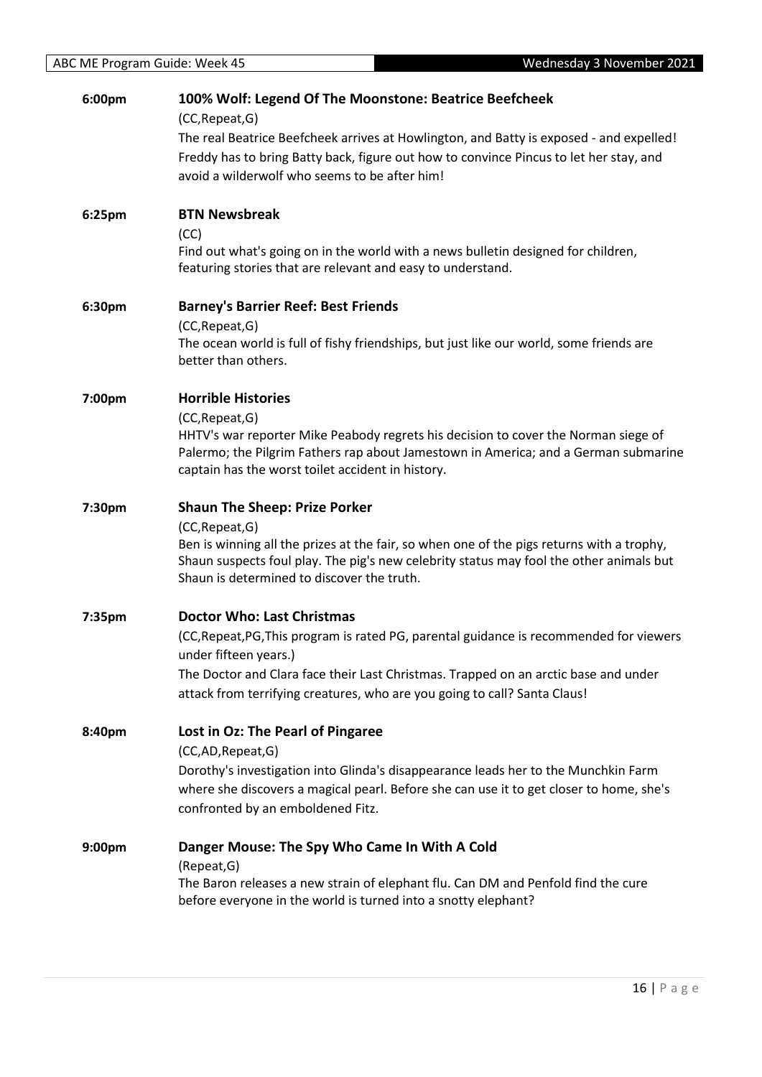| 6:00pm | 100% Wolf: Legend Of The Moonstone: Beatrice Beefcheek                                                                                           |
|--------|--------------------------------------------------------------------------------------------------------------------------------------------------|
|        | (CC, Repeat, G)<br>The real Beatrice Beefcheek arrives at Howlington, and Batty is exposed - and expelled!                                       |
|        | Freddy has to bring Batty back, figure out how to convince Pincus to let her stay, and                                                           |
|        | avoid a wilderwolf who seems to be after him!                                                                                                    |
|        |                                                                                                                                                  |
| 6:25pm | <b>BTN Newsbreak</b>                                                                                                                             |
|        | (CC)                                                                                                                                             |
|        | Find out what's going on in the world with a news bulletin designed for children,<br>featuring stories that are relevant and easy to understand. |
|        |                                                                                                                                                  |
| 6:30pm | <b>Barney's Barrier Reef: Best Friends</b>                                                                                                       |
|        | (CC, Repeat, G)                                                                                                                                  |
|        | The ocean world is full of fishy friendships, but just like our world, some friends are                                                          |
|        | better than others.                                                                                                                              |
|        | <b>Horrible Histories</b>                                                                                                                        |
| 7:00pm | (CC, Repeat, G)                                                                                                                                  |
|        | HHTV's war reporter Mike Peabody regrets his decision to cover the Norman siege of                                                               |
|        | Palermo; the Pilgrim Fathers rap about Jamestown in America; and a German submarine                                                              |
|        | captain has the worst toilet accident in history.                                                                                                |
| 7:30pm | <b>Shaun The Sheep: Prize Porker</b>                                                                                                             |
|        | (CC, Repeat, G)                                                                                                                                  |
|        | Ben is winning all the prizes at the fair, so when one of the pigs returns with a trophy,                                                        |
|        | Shaun suspects foul play. The pig's new celebrity status may fool the other animals but                                                          |
|        | Shaun is determined to discover the truth.                                                                                                       |
| 7:35pm | <b>Doctor Who: Last Christmas</b>                                                                                                                |
|        | (CC, Repeat, PG, This program is rated PG, parental guidance is recommended for viewers                                                          |
|        | under fifteen years.)                                                                                                                            |
|        | The Doctor and Clara face their Last Christmas. Trapped on an arctic base and under                                                              |
|        | attack from terrifying creatures, who are you going to call? Santa Claus!                                                                        |
|        |                                                                                                                                                  |
| 8:40pm | Lost in Oz: The Pearl of Pingaree                                                                                                                |
|        | (CC,AD,Repeat,G)                                                                                                                                 |
|        | Dorothy's investigation into Glinda's disappearance leads her to the Munchkin Farm                                                               |
|        | where she discovers a magical pearl. Before she can use it to get closer to home, she's<br>confronted by an emboldened Fitz.                     |
|        |                                                                                                                                                  |
| 9:00pm | Danger Mouse: The Spy Who Came In With A Cold                                                                                                    |
|        | (Repeat, G)                                                                                                                                      |
|        | The Baron releases a new strain of elephant flu. Can DM and Penfold find the cure                                                                |
|        | before everyone in the world is turned into a snotty elephant?                                                                                   |
|        |                                                                                                                                                  |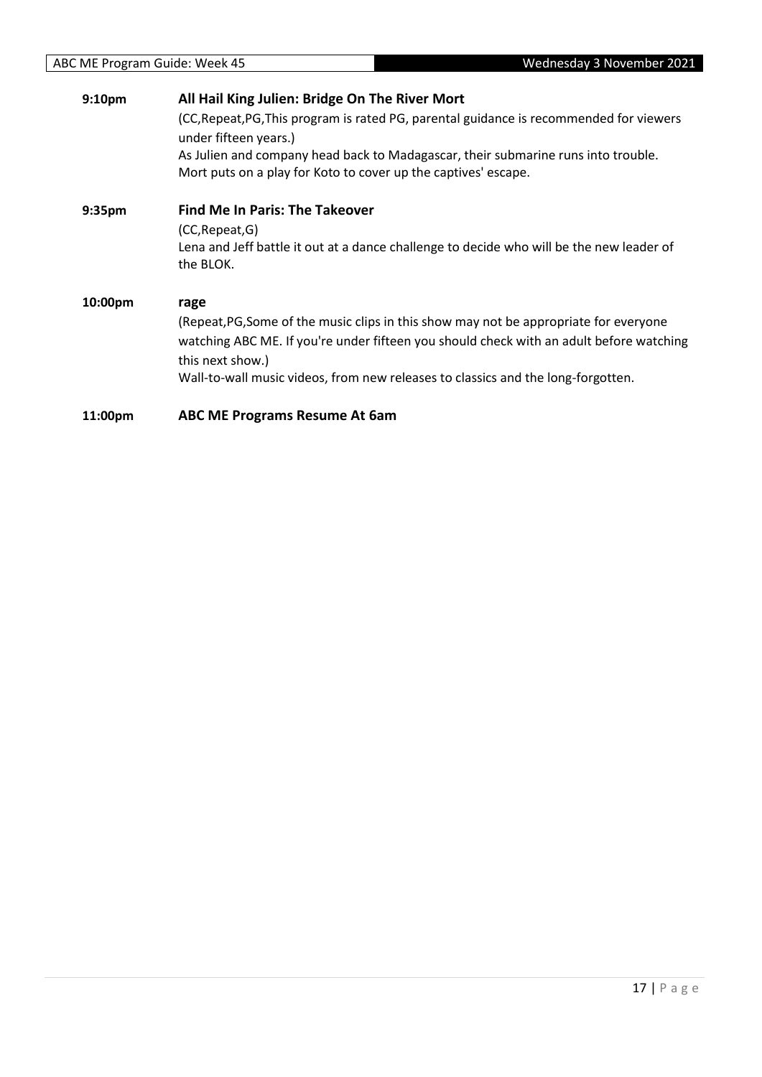| 9:10 <sub>pm</sub> | All Hail King Julien: Bridge On The River Mort                                                                                                                                                                                                                                                   |
|--------------------|--------------------------------------------------------------------------------------------------------------------------------------------------------------------------------------------------------------------------------------------------------------------------------------------------|
|                    | (CC, Repeat, PG, This program is rated PG, parental guidance is recommended for viewers<br>under fifteen years.)                                                                                                                                                                                 |
|                    | As Julien and company head back to Madagascar, their submarine runs into trouble.<br>Mort puts on a play for Koto to cover up the captives' escape.                                                                                                                                              |
| 9:35 <sub>pm</sub> | <b>Find Me In Paris: The Takeover</b>                                                                                                                                                                                                                                                            |
|                    | (CC, Repeat, G)<br>Lena and Jeff battle it out at a dance challenge to decide who will be the new leader of<br>the BLOK.                                                                                                                                                                         |
| 10:00pm            | rage<br>(Repeat, PG, Some of the music clips in this show may not be appropriate for everyone<br>watching ABC ME. If you're under fifteen you should check with an adult before watching<br>this next show.)<br>Wall-to-wall music videos, from new releases to classics and the long-forgotten. |
| 11:00pm            | <b>ABC ME Programs Resume At 6am</b>                                                                                                                                                                                                                                                             |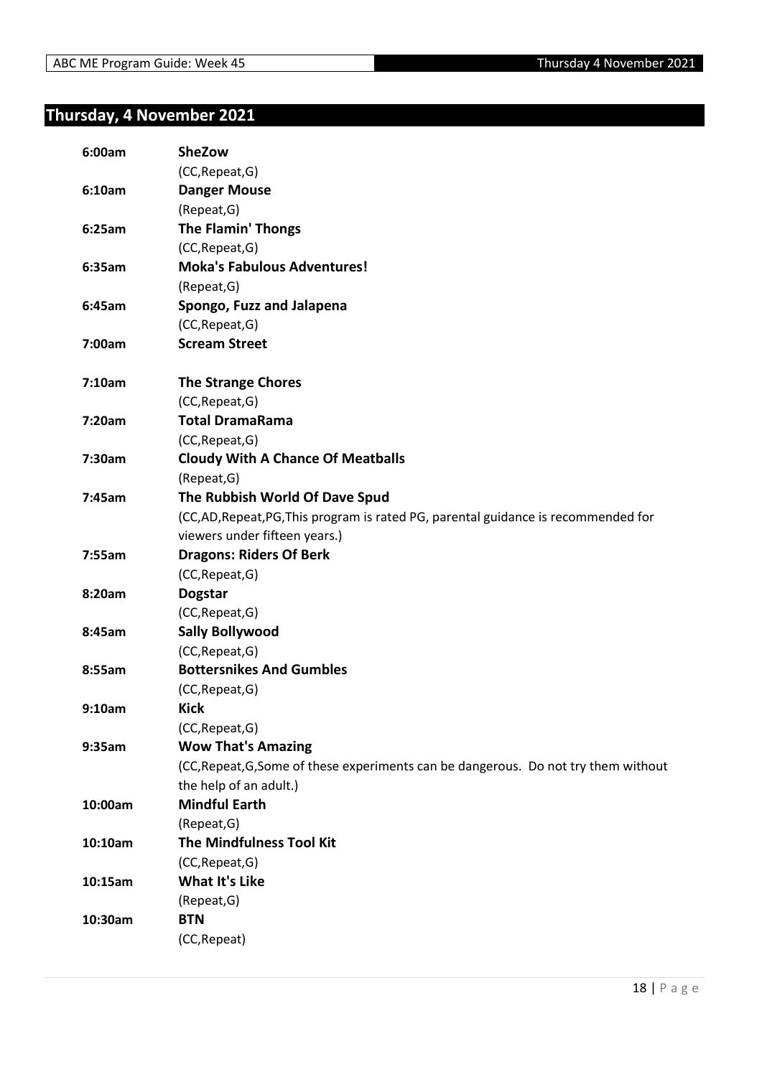### <span id="page-17-0"></span>**Thursday, 4 November 2021**

| 6:00am  | <b>SheZow</b>                                                                       |
|---------|-------------------------------------------------------------------------------------|
|         | (CC, Repeat, G)                                                                     |
| 6:10am  | <b>Danger Mouse</b>                                                                 |
|         | (Repeat, G)                                                                         |
| 6:25am  | <b>The Flamin' Thongs</b>                                                           |
|         | (CC, Repeat, G)                                                                     |
| 6:35am  | <b>Moka's Fabulous Adventures!</b>                                                  |
|         | (Repeat, G)                                                                         |
| 6:45am  | Spongo, Fuzz and Jalapena                                                           |
|         | (CC, Repeat, G)                                                                     |
| 7:00am  | <b>Scream Street</b>                                                                |
| 7:10am  | <b>The Strange Chores</b>                                                           |
|         | (CC, Repeat, G)                                                                     |
| 7:20am  | <b>Total DramaRama</b>                                                              |
|         | (CC, Repeat, G)                                                                     |
| 7:30am  | <b>Cloudy With A Chance Of Meatballs</b>                                            |
|         | (Repeat, G)                                                                         |
| 7:45am  | The Rubbish World Of Dave Spud                                                      |
|         | (CC,AD,Repeat,PG,This program is rated PG, parental guidance is recommended for     |
|         | viewers under fifteen years.)                                                       |
| 7:55am  | <b>Dragons: Riders Of Berk</b>                                                      |
|         | (CC, Repeat, G)                                                                     |
| 8:20am  | <b>Dogstar</b>                                                                      |
|         | (CC, Repeat, G)                                                                     |
| 8:45am  | <b>Sally Bollywood</b>                                                              |
|         | (CC, Repeat, G)                                                                     |
| 8:55am  | <b>Bottersnikes And Gumbles</b>                                                     |
|         | (CC, Repeat, G)                                                                     |
| 9:10am  | <b>Kick</b>                                                                         |
|         | (CC, Repeat, G)                                                                     |
| 9:35am  | <b>Wow That's Amazing</b>                                                           |
|         | (CC, Repeat, G, Some of these experiments can be dangerous. Do not try them without |
|         | the help of an adult.)                                                              |
| 10:00am | <b>Mindful Earth</b>                                                                |
|         | (Repeat, G)                                                                         |
| 10:10am | <b>The Mindfulness Tool Kit</b>                                                     |
|         | (CC, Repeat, G)                                                                     |
| 10:15am | <b>What It's Like</b>                                                               |
|         | (Repeat, G)                                                                         |
| 10:30am | <b>BTN</b>                                                                          |
|         | (CC, Repeat)                                                                        |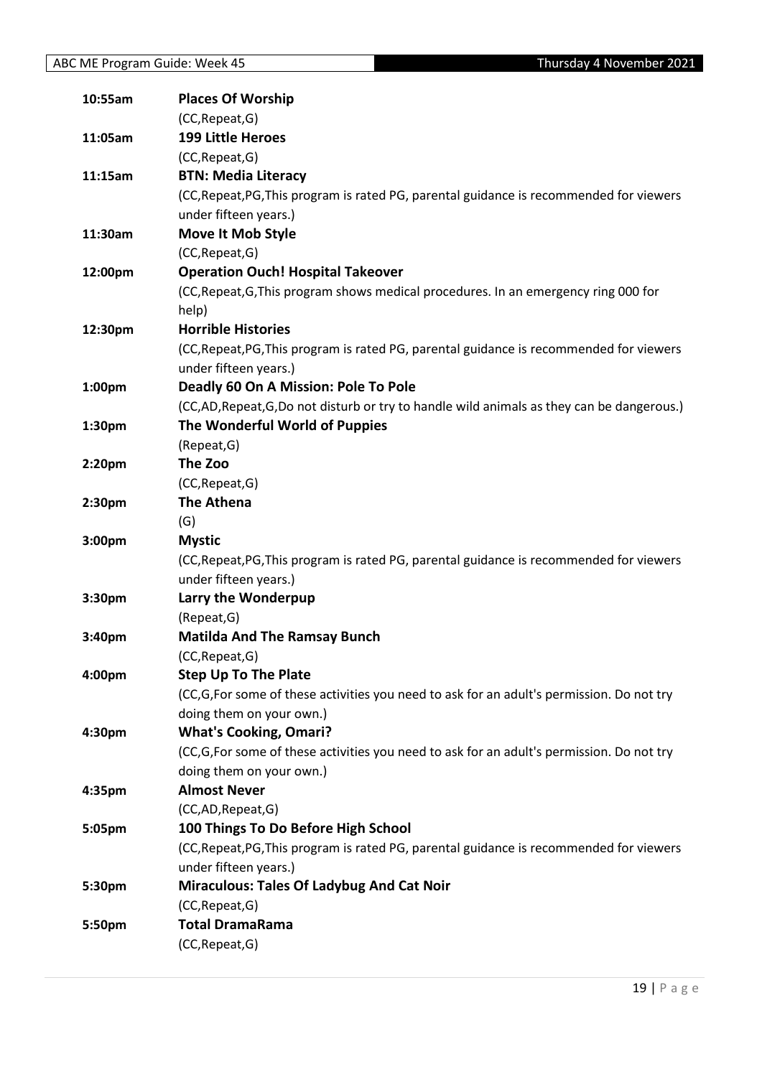| 10:55am            | <b>Places Of Worship</b>                                                                  |
|--------------------|-------------------------------------------------------------------------------------------|
|                    | (CC, Repeat, G)                                                                           |
| 11:05am            | <b>199 Little Heroes</b>                                                                  |
|                    | (CC, Repeat, G)                                                                           |
| 11:15am            | <b>BTN: Media Literacy</b>                                                                |
|                    | (CC, Repeat, PG, This program is rated PG, parental guidance is recommended for viewers   |
|                    | under fifteen years.)                                                                     |
| 11:30am            | Move It Mob Style                                                                         |
|                    | (CC, Repeat, G)                                                                           |
| 12:00pm            | <b>Operation Ouch! Hospital Takeover</b>                                                  |
|                    | (CC, Repeat, G, This program shows medical procedures. In an emergency ring 000 for       |
|                    | help)                                                                                     |
| 12:30pm            | <b>Horrible Histories</b>                                                                 |
|                    | (CC, Repeat, PG, This program is rated PG, parental guidance is recommended for viewers   |
|                    | under fifteen years.)                                                                     |
| 1:00 <sub>pm</sub> | Deadly 60 On A Mission: Pole To Pole                                                      |
|                    | (CC,AD, Repeat, G,Do not disturb or try to handle wild animals as they can be dangerous.) |
| 1:30pm             | The Wonderful World of Puppies                                                            |
|                    | (Repeat, G)                                                                               |
| 2:20pm             | The Zoo                                                                                   |
|                    | (CC, Repeat, G)                                                                           |
| 2:30 <sub>pm</sub> | <b>The Athena</b>                                                                         |
|                    | (G)                                                                                       |
| 3:00pm             | <b>Mystic</b>                                                                             |
|                    | (CC, Repeat, PG, This program is rated PG, parental guidance is recommended for viewers   |
|                    | under fifteen years.)                                                                     |
| 3:30pm             | Larry the Wonderpup                                                                       |
|                    | (Repeat, G)                                                                               |
| 3:40pm             | <b>Matilda And The Ramsay Bunch</b>                                                       |
|                    | (CC, Repeat, G)                                                                           |
| 4:00pm             | <b>Step Up To The Plate</b>                                                               |
|                    | (CC,G,For some of these activities you need to ask for an adult's permission. Do not try  |
|                    | doing them on your own.)                                                                  |
| 4:30pm             | <b>What's Cooking, Omari?</b>                                                             |
|                    | (CC,G,For some of these activities you need to ask for an adult's permission. Do not try  |
|                    | doing them on your own.)                                                                  |
| 4:35pm             | <b>Almost Never</b>                                                                       |
|                    | (CC,AD, Repeat, G)                                                                        |
| 5:05pm             | 100 Things To Do Before High School                                                       |
|                    | (CC, Repeat, PG, This program is rated PG, parental guidance is recommended for viewers   |
|                    | under fifteen years.)                                                                     |
| 5:30pm             | <b>Miraculous: Tales Of Ladybug And Cat Noir</b>                                          |
|                    | (CC, Repeat, G)                                                                           |
| 5:50pm             | <b>Total DramaRama</b>                                                                    |
|                    | (CC, Repeat, G)                                                                           |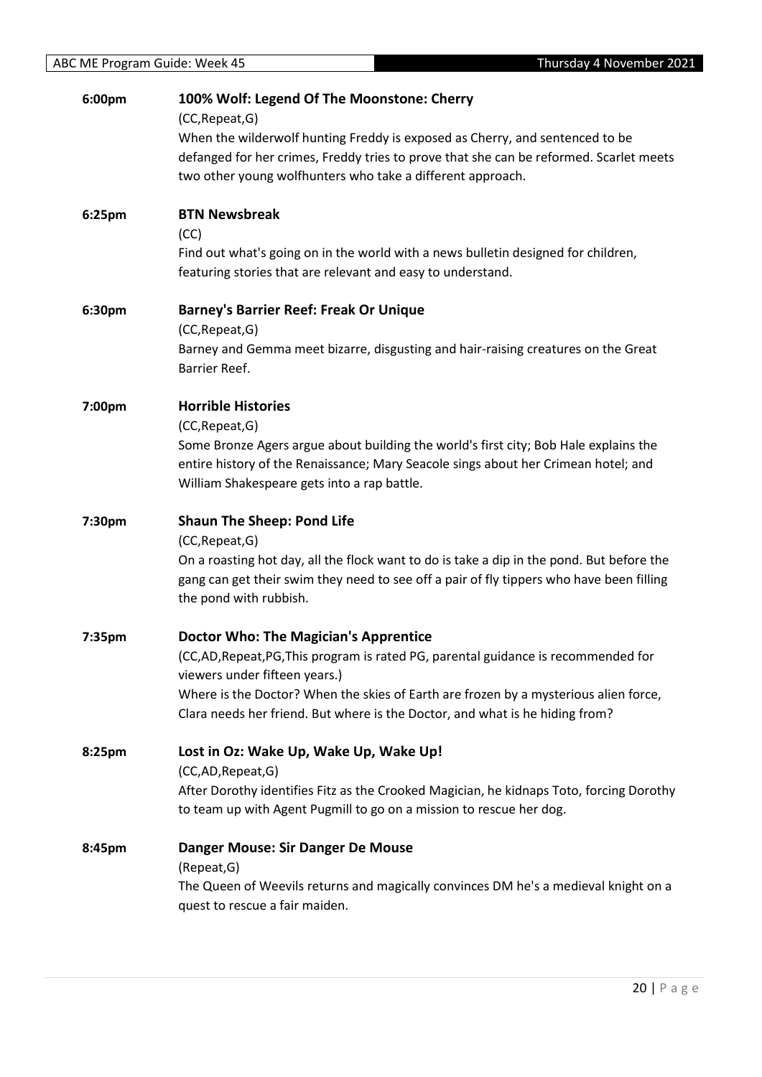| 6:00pm | 100% Wolf: Legend Of The Moonstone: Cherry<br>(CC, Repeat, G)                                                                                                              |
|--------|----------------------------------------------------------------------------------------------------------------------------------------------------------------------------|
|        | When the wilderwolf hunting Freddy is exposed as Cherry, and sentenced to be                                                                                               |
|        | defanged for her crimes, Freddy tries to prove that she can be reformed. Scarlet meets                                                                                     |
|        | two other young wolfhunters who take a different approach.                                                                                                                 |
| 6:25pm | <b>BTN Newsbreak</b>                                                                                                                                                       |
|        | (CC)                                                                                                                                                                       |
|        | Find out what's going on in the world with a news bulletin designed for children,<br>featuring stories that are relevant and easy to understand.                           |
| 6:30pm | <b>Barney's Barrier Reef: Freak Or Unique</b>                                                                                                                              |
|        | (CC, Repeat, G)<br>Barney and Gemma meet bizarre, disgusting and hair-raising creatures on the Great                                                                       |
|        | Barrier Reef.                                                                                                                                                              |
| 7:00pm | <b>Horrible Histories</b>                                                                                                                                                  |
|        | (CC, Repeat, G)                                                                                                                                                            |
|        | Some Bronze Agers argue about building the world's first city; Bob Hale explains the<br>entire history of the Renaissance; Mary Seacole sings about her Crimean hotel; and |
|        | William Shakespeare gets into a rap battle.                                                                                                                                |
| 7:30pm | <b>Shaun The Sheep: Pond Life</b>                                                                                                                                          |
|        |                                                                                                                                                                            |
|        | (CC, Repeat, G)                                                                                                                                                            |
|        | On a roasting hot day, all the flock want to do is take a dip in the pond. But before the                                                                                  |
|        | gang can get their swim they need to see off a pair of fly tippers who have been filling<br>the pond with rubbish.                                                         |
| 7:35pm | <b>Doctor Who: The Magician's Apprentice</b>                                                                                                                               |
|        | (CC,AD, Repeat, PG, This program is rated PG, parental guidance is recommended for<br>viewers under fifteen years.)                                                        |
|        | Where is the Doctor? When the skies of Earth are frozen by a mysterious alien force,                                                                                       |
|        | Clara needs her friend. But where is the Doctor, and what is he hiding from?                                                                                               |
| 8:25pm | Lost in Oz: Wake Up, Wake Up, Wake Up!                                                                                                                                     |
|        | (CC,AD,Repeat,G)                                                                                                                                                           |
|        | After Dorothy identifies Fitz as the Crooked Magician, he kidnaps Toto, forcing Dorothy<br>to team up with Agent Pugmill to go on a mission to rescue her dog.             |
| 8:45pm | Danger Mouse: Sir Danger De Mouse                                                                                                                                          |
|        | (Repeat, G)                                                                                                                                                                |
|        | The Queen of Weevils returns and magically convinces DM he's a medieval knight on a<br>quest to rescue a fair maiden.                                                      |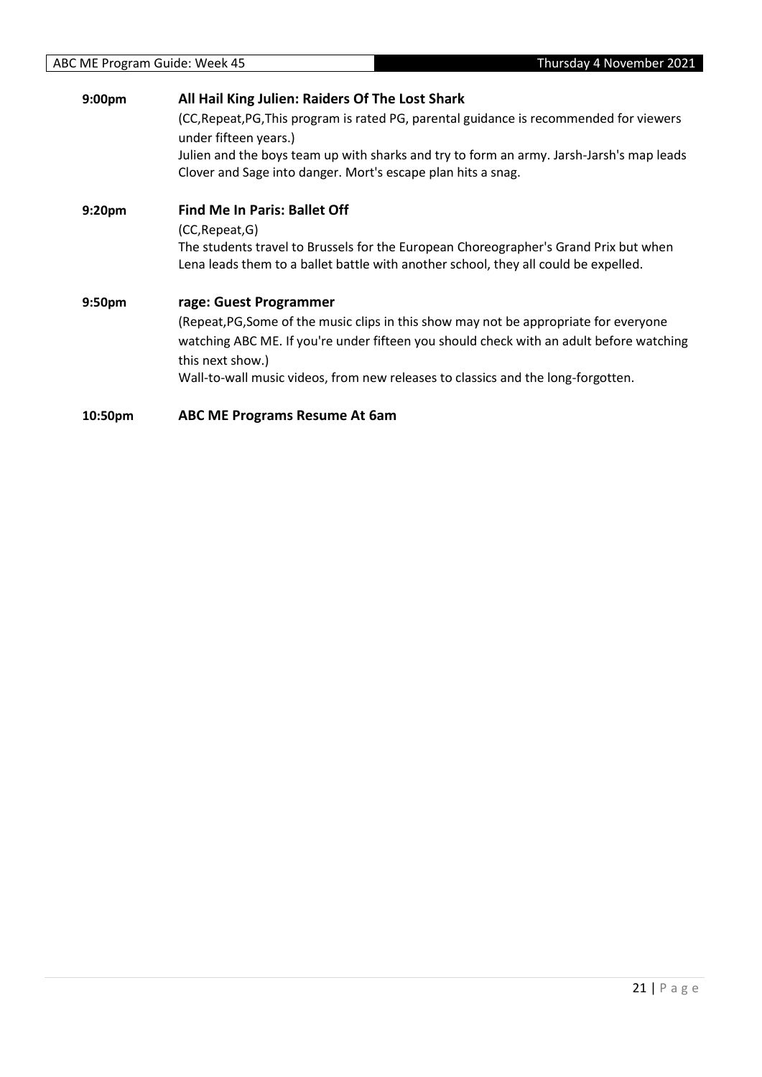| 9:00pm             | All Hail King Julien: Raiders Of The Lost Shark                                                                  |
|--------------------|------------------------------------------------------------------------------------------------------------------|
|                    | (CC, Repeat, PG, This program is rated PG, parental guidance is recommended for viewers<br>under fifteen years.) |
|                    | Julien and the boys team up with sharks and try to form an army. Jarsh-Jarsh's map leads                         |
|                    | Clover and Sage into danger. Mort's escape plan hits a snag.                                                     |
| 9:20 <sub>pm</sub> | <b>Find Me In Paris: Ballet Off</b>                                                                              |
|                    | (CC, Repeat, G)                                                                                                  |
|                    | The students travel to Brussels for the European Choreographer's Grand Prix but when                             |
|                    | Lena leads them to a ballet battle with another school, they all could be expelled.                              |
| 9:50 <sub>pm</sub> | rage: Guest Programmer                                                                                           |
|                    | (Repeat, PG, Some of the music clips in this show may not be appropriate for everyone                            |
|                    | watching ABC ME. If you're under fifteen you should check with an adult before watching<br>this next show.)      |
|                    | Wall-to-wall music videos, from new releases to classics and the long-forgotten.                                 |
| 10:50pm            | <b>ABC ME Programs Resume At 6am</b>                                                                             |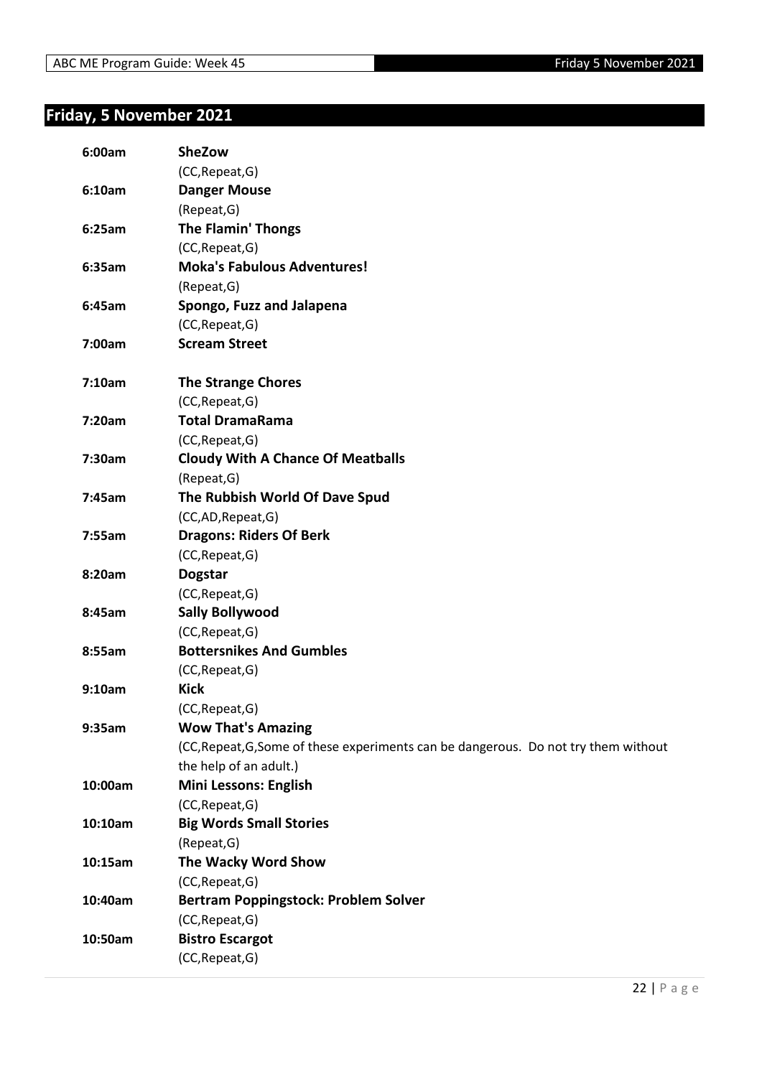### <span id="page-21-0"></span>**Friday, 5 November 2021**

| 6:00am  | SheZow                                                                              |
|---------|-------------------------------------------------------------------------------------|
|         | (CC, Repeat, G)                                                                     |
| 6:10am  | <b>Danger Mouse</b>                                                                 |
|         | (Repeat, G)                                                                         |
| 6:25am  | <b>The Flamin' Thongs</b>                                                           |
|         | (CC, Repeat, G)                                                                     |
| 6:35am  | <b>Moka's Fabulous Adventures!</b>                                                  |
|         | (Repeat, G)                                                                         |
| 6:45am  | Spongo, Fuzz and Jalapena                                                           |
|         | (CC, Repeat, G)                                                                     |
| 7:00am  | <b>Scream Street</b>                                                                |
| 7:10am  | <b>The Strange Chores</b>                                                           |
|         | (CC, Repeat, G)                                                                     |
| 7:20am  | <b>Total DramaRama</b>                                                              |
|         | (CC, Repeat, G)                                                                     |
| 7:30am  | <b>Cloudy With A Chance Of Meatballs</b>                                            |
|         | (Repeat, G)                                                                         |
| 7:45am  | The Rubbish World Of Dave Spud                                                      |
|         | (CC,AD,Repeat,G)                                                                    |
| 7:55am  | <b>Dragons: Riders Of Berk</b>                                                      |
|         | (CC, Repeat, G)                                                                     |
| 8:20am  | <b>Dogstar</b>                                                                      |
|         | (CC, Repeat, G)                                                                     |
| 8:45am  | <b>Sally Bollywood</b>                                                              |
|         | (CC, Repeat, G)                                                                     |
| 8:55am  | <b>Bottersnikes And Gumbles</b>                                                     |
|         | (CC, Repeat, G)                                                                     |
| 9:10am  | <b>Kick</b>                                                                         |
|         | (CC, Repeat, G)                                                                     |
| 9:35am  | <b>Wow That's Amazing</b>                                                           |
|         | (CC, Repeat, G, Some of these experiments can be dangerous. Do not try them without |
|         | the help of an adult.)                                                              |
| 10:00am | <b>Mini Lessons: English</b>                                                        |
|         | (CC, Repeat, G)                                                                     |
| 10:10am | <b>Big Words Small Stories</b>                                                      |
|         | (Repeat, G)                                                                         |
| 10:15am | The Wacky Word Show                                                                 |
|         | (CC, Repeat, G)                                                                     |
| 10:40am | <b>Bertram Poppingstock: Problem Solver</b>                                         |
|         | (CC, Repeat, G)                                                                     |
| 10:50am | <b>Bistro Escargot</b>                                                              |
|         | (CC, Repeat, G)                                                                     |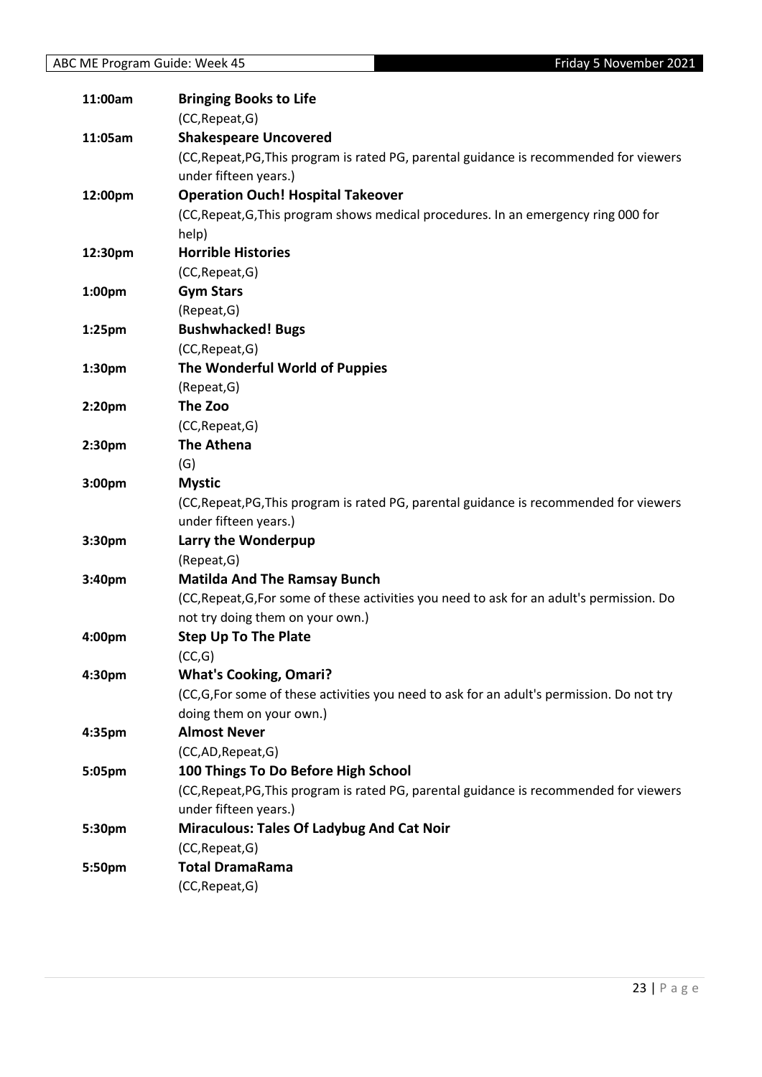| 11:00am            | <b>Bringing Books to Life</b>                                                              |
|--------------------|--------------------------------------------------------------------------------------------|
|                    | (CC, Repeat, G)                                                                            |
| 11:05am            | <b>Shakespeare Uncovered</b>                                                               |
|                    | (CC, Repeat, PG, This program is rated PG, parental guidance is recommended for viewers    |
|                    | under fifteen years.)                                                                      |
| 12:00pm            | <b>Operation Ouch! Hospital Takeover</b>                                                   |
|                    | (CC, Repeat, G, This program shows medical procedures. In an emergency ring 000 for        |
|                    | help)                                                                                      |
| 12:30pm            | <b>Horrible Histories</b>                                                                  |
|                    | (CC, Repeat, G)                                                                            |
| 1:00pm             | <b>Gym Stars</b>                                                                           |
|                    | (Repeat, G)                                                                                |
| 1:25pm             | <b>Bushwhacked! Bugs</b>                                                                   |
|                    | (CC, Repeat, G)                                                                            |
| 1:30pm             | The Wonderful World of Puppies                                                             |
|                    | (Repeat, G)                                                                                |
| 2:20pm             | The Zoo                                                                                    |
|                    | (CC, Repeat, G)                                                                            |
| 2:30pm             | <b>The Athena</b>                                                                          |
|                    | (G)                                                                                        |
| 3:00 <sub>pm</sub> | <b>Mystic</b>                                                                              |
|                    | (CC, Repeat, PG, This program is rated PG, parental guidance is recommended for viewers    |
|                    | under fifteen years.)                                                                      |
| 3:30pm             | Larry the Wonderpup                                                                        |
|                    | (Repeat, G)                                                                                |
| 3:40pm             | <b>Matilda And The Ramsay Bunch</b>                                                        |
|                    | (CC, Repeat, G, For some of these activities you need to ask for an adult's permission. Do |
|                    | not try doing them on your own.)                                                           |
| 4:00pm             | <b>Step Up To The Plate</b>                                                                |
|                    | (CC,G)                                                                                     |
| 4:30pm             | <b>What's Cooking, Omari?</b>                                                              |
|                    | (CC,G,For some of these activities you need to ask for an adult's permission. Do not try   |
|                    | doing them on your own.)                                                                   |
| 4:35pm             | <b>Almost Never</b>                                                                        |
|                    | (CC,AD,Repeat,G)                                                                           |
| 5:05pm             | 100 Things To Do Before High School                                                        |
|                    | (CC, Repeat, PG, This program is rated PG, parental guidance is recommended for viewers    |
|                    | under fifteen years.)                                                                      |
| 5:30pm             | <b>Miraculous: Tales Of Ladybug And Cat Noir</b>                                           |
|                    | (CC, Repeat, G)                                                                            |
| 5:50pm             | <b>Total DramaRama</b>                                                                     |
|                    | (CC, Repeat, G)                                                                            |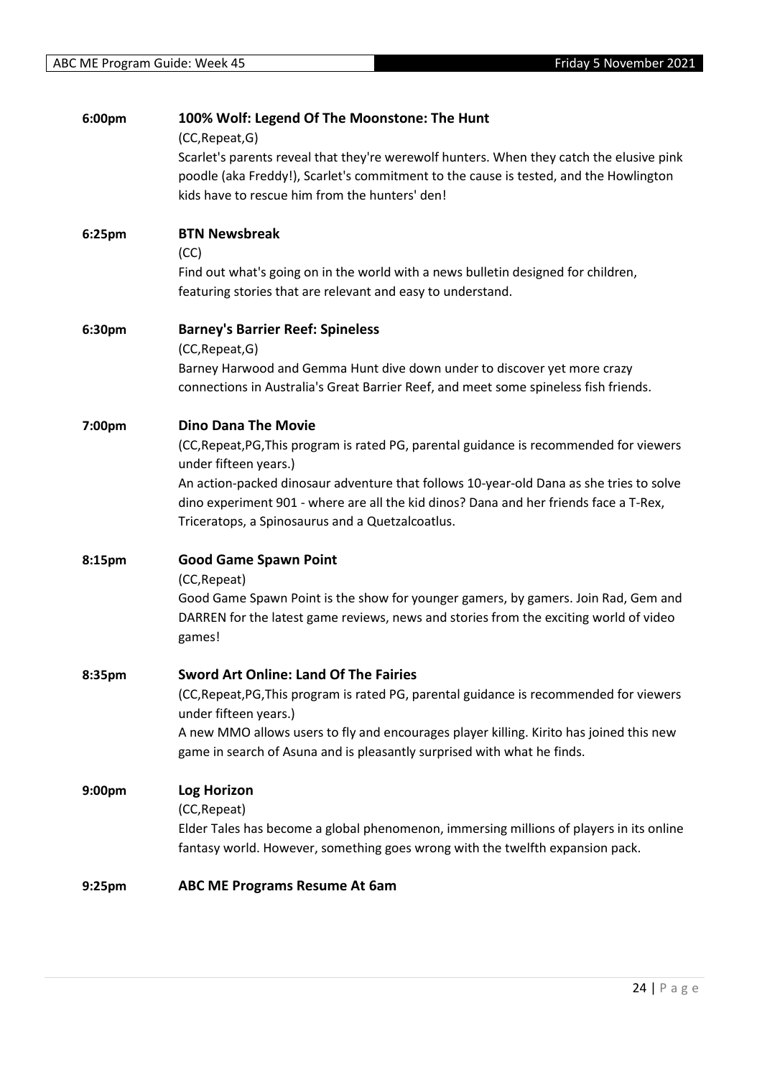| 6:00pm             | 100% Wolf: Legend Of The Moonstone: The Hunt<br>(CC, Repeat, G)                                                                                                                                                                      |
|--------------------|--------------------------------------------------------------------------------------------------------------------------------------------------------------------------------------------------------------------------------------|
|                    | Scarlet's parents reveal that they're werewolf hunters. When they catch the elusive pink<br>poodle (aka Freddy!), Scarlet's commitment to the cause is tested, and the Howlington<br>kids have to rescue him from the hunters' den!  |
| 6:25pm             | <b>BTN Newsbreak</b><br>(CC)                                                                                                                                                                                                         |
|                    | Find out what's going on in the world with a news bulletin designed for children,<br>featuring stories that are relevant and easy to understand.                                                                                     |
| 6:30pm             | <b>Barney's Barrier Reef: Spineless</b><br>(CC, Repeat, G)                                                                                                                                                                           |
|                    | Barney Harwood and Gemma Hunt dive down under to discover yet more crazy<br>connections in Australia's Great Barrier Reef, and meet some spineless fish friends.                                                                     |
| 7:00pm             | <b>Dino Dana The Movie</b>                                                                                                                                                                                                           |
|                    | (CC, Repeat, PG, This program is rated PG, parental guidance is recommended for viewers<br>under fifteen years.)                                                                                                                     |
|                    | An action-packed dinosaur adventure that follows 10-year-old Dana as she tries to solve<br>dino experiment 901 - where are all the kid dinos? Dana and her friends face a T-Rex,<br>Triceratops, a Spinosaurus and a Quetzalcoatlus. |
| 8:15pm             | <b>Good Game Spawn Point</b>                                                                                                                                                                                                         |
|                    | (CC, Repeat)<br>Good Game Spawn Point is the show for younger gamers, by gamers. Join Rad, Gem and<br>DARREN for the latest game reviews, news and stories from the exciting world of video<br>games!                                |
| 8:35pm             | <b>Sword Art Online: Land Of The Fairies</b>                                                                                                                                                                                         |
|                    | (CC, Repeat, PG, This program is rated PG, parental guidance is recommended for viewers                                                                                                                                              |
|                    | under fifteen years.)<br>A new MMO allows users to fly and encourages player killing. Kirito has joined this new<br>game in search of Asuna and is pleasantly surprised with what he finds.                                          |
| 9:00pm             | <b>Log Horizon</b>                                                                                                                                                                                                                   |
|                    | (CC, Repeat)<br>Elder Tales has become a global phenomenon, immersing millions of players in its online<br>fantasy world. However, something goes wrong with the twelfth expansion pack.                                             |
| 9:25 <sub>pm</sub> | <b>ABC ME Programs Resume At 6am</b>                                                                                                                                                                                                 |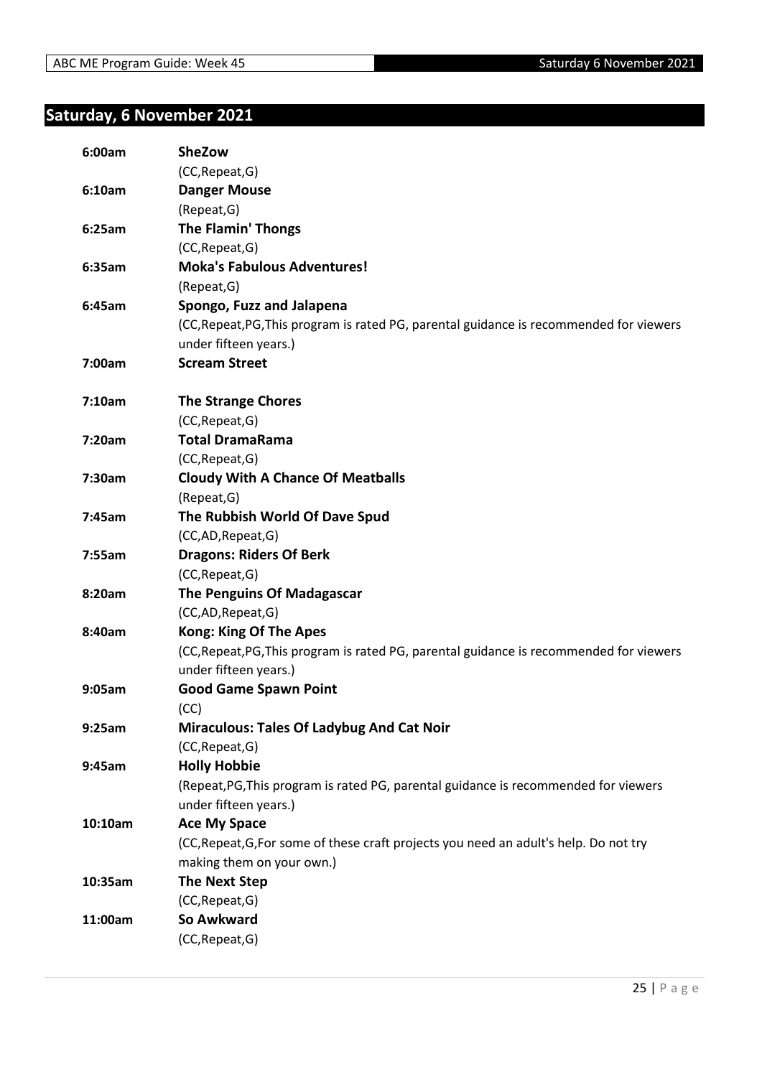### <span id="page-24-0"></span>**Saturday, 6 November 2021**

| 6:00am  | <b>SheZow</b>                                                                           |
|---------|-----------------------------------------------------------------------------------------|
|         | (CC, Repeat, G)                                                                         |
| 6:10am  | <b>Danger Mouse</b>                                                                     |
|         | (Repeat, G)                                                                             |
| 6:25am  | <b>The Flamin' Thongs</b>                                                               |
|         | (CC, Repeat, G)                                                                         |
| 6:35am  | <b>Moka's Fabulous Adventures!</b>                                                      |
|         | (Repeat, G)                                                                             |
| 6:45am  | Spongo, Fuzz and Jalapena                                                               |
|         | (CC, Repeat, PG, This program is rated PG, parental guidance is recommended for viewers |
|         | under fifteen years.)                                                                   |
| 7:00am  | <b>Scream Street</b>                                                                    |
| 7:10am  | <b>The Strange Chores</b>                                                               |
|         | (CC, Repeat, G)                                                                         |
| 7:20am  | <b>Total DramaRama</b>                                                                  |
|         | (CC, Repeat, G)                                                                         |
| 7:30am  | <b>Cloudy With A Chance Of Meatballs</b>                                                |
|         | (Repeat, G)                                                                             |
| 7:45am  | The Rubbish World Of Dave Spud                                                          |
|         | (CC,AD,Repeat,G)                                                                        |
| 7:55am  | <b>Dragons: Riders Of Berk</b>                                                          |
|         | (CC, Repeat, G)                                                                         |
| 8:20am  | The Penguins Of Madagascar                                                              |
|         | (CC,AD,Repeat,G)                                                                        |
| 8:40am  | <b>Kong: King Of The Apes</b>                                                           |
|         | (CC, Repeat, PG, This program is rated PG, parental guidance is recommended for viewers |
|         | under fifteen years.)                                                                   |
| 9:05am  | <b>Good Game Spawn Point</b>                                                            |
|         | (CC)                                                                                    |
| 9:25am  | <b>Miraculous: Tales Of Ladybug And Cat Noir</b>                                        |
|         | (CC, Repeat, G)                                                                         |
| 9:45am  | <b>Holly Hobbie</b>                                                                     |
|         | (Repeat, PG, This program is rated PG, parental guidance is recommended for viewers     |
|         | under fifteen years.)                                                                   |
| 10:10am | <b>Ace My Space</b>                                                                     |
|         | (CC, Repeat, G, For some of these craft projects you need an adult's help. Do not try   |
|         | making them on your own.)                                                               |
| 10:35am | <b>The Next Step</b>                                                                    |
|         | (CC, Repeat, G)                                                                         |
| 11:00am | So Awkward                                                                              |
|         | (CC, Repeat, G)                                                                         |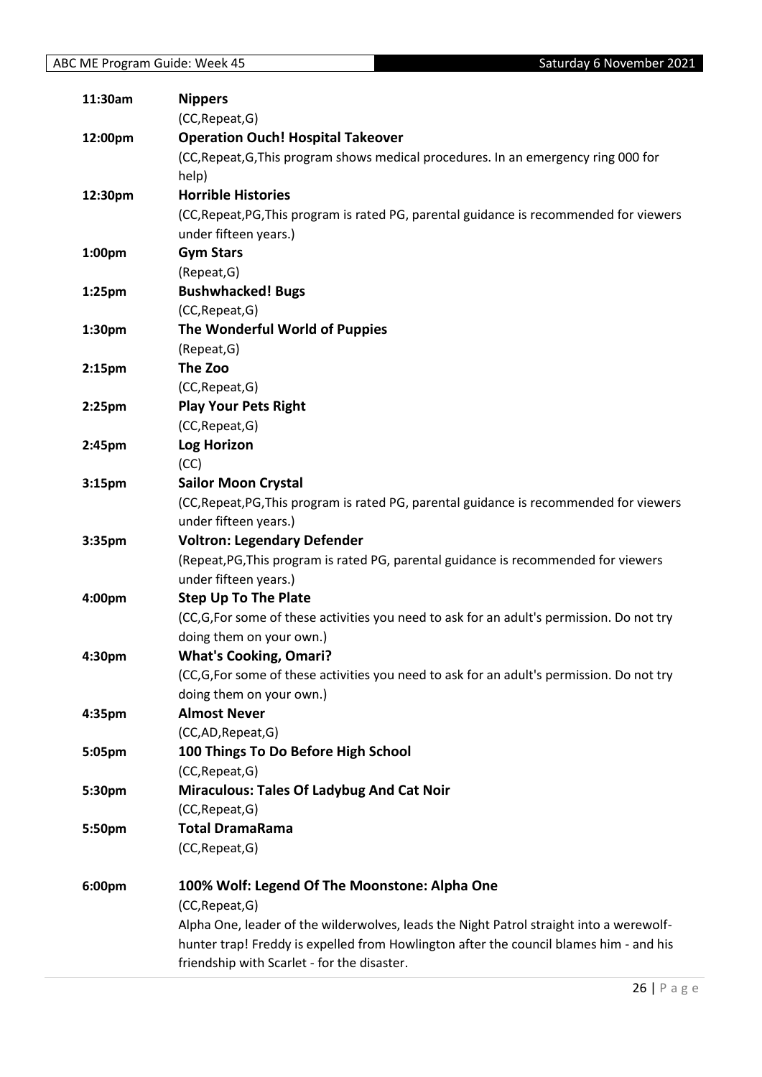| 11:30am            | <b>Nippers</b>                                                                           |
|--------------------|------------------------------------------------------------------------------------------|
|                    | (CC, Repeat, G)                                                                          |
| 12:00pm            | <b>Operation Ouch! Hospital Takeover</b>                                                 |
|                    | (CC, Repeat, G, This program shows medical procedures. In an emergency ring 000 for      |
|                    | help)                                                                                    |
| 12:30pm            | <b>Horrible Histories</b>                                                                |
|                    | (CC, Repeat, PG, This program is rated PG, parental guidance is recommended for viewers  |
|                    | under fifteen years.)                                                                    |
| 1:00pm             | <b>Gym Stars</b>                                                                         |
|                    | (Repeat, G)                                                                              |
| 1:25 <sub>pm</sub> | <b>Bushwhacked! Bugs</b>                                                                 |
|                    | (CC, Repeat, G)                                                                          |
| 1:30pm             | The Wonderful World of Puppies                                                           |
|                    | (Repeat, G)                                                                              |
| 2:15 <sub>pm</sub> | The Zoo                                                                                  |
|                    | (CC, Repeat, G)                                                                          |
| 2:25 <sub>pm</sub> | <b>Play Your Pets Right</b>                                                              |
|                    | (CC, Repeat, G)                                                                          |
| 2:45pm             | <b>Log Horizon</b>                                                                       |
|                    | (CC)                                                                                     |
| 3:15pm             | <b>Sailor Moon Crystal</b>                                                               |
|                    | (CC, Repeat, PG, This program is rated PG, parental guidance is recommended for viewers  |
|                    | under fifteen years.)                                                                    |
| 3:35pm             | <b>Voltron: Legendary Defender</b>                                                       |
|                    | (Repeat, PG, This program is rated PG, parental guidance is recommended for viewers      |
|                    | under fifteen years.)                                                                    |
| 4:00pm             | <b>Step Up To The Plate</b>                                                              |
|                    | (CC,G,For some of these activities you need to ask for an adult's permission. Do not try |
|                    | doing them on your own.)                                                                 |
| 4:30pm             | <b>What's Cooking, Omari?</b>                                                            |
|                    | (CC,G,For some of these activities you need to ask for an adult's permission. Do not try |
|                    | doing them on your own.)                                                                 |
| 4:35pm             | <b>Almost Never</b>                                                                      |
|                    | (CC,AD,Repeat,G)                                                                         |
| 5:05pm             | 100 Things To Do Before High School                                                      |
|                    | (CC, Repeat, G)                                                                          |
| 5:30pm             | <b>Miraculous: Tales Of Ladybug And Cat Noir</b>                                         |
|                    | (CC, Repeat, G)                                                                          |
| 5:50pm             | <b>Total DramaRama</b>                                                                   |
|                    | (CC, Repeat, G)                                                                          |
| 6:00pm             | 100% Wolf: Legend Of The Moonstone: Alpha One                                            |
|                    | (CC, Repeat, G)                                                                          |
|                    | Alpha One, leader of the wilderwolves, leads the Night Patrol straight into a werewolf-  |
|                    | hunter trap! Freddy is expelled from Howlington after the council blames him - and his   |
|                    | friendship with Scarlet - for the disaster.                                              |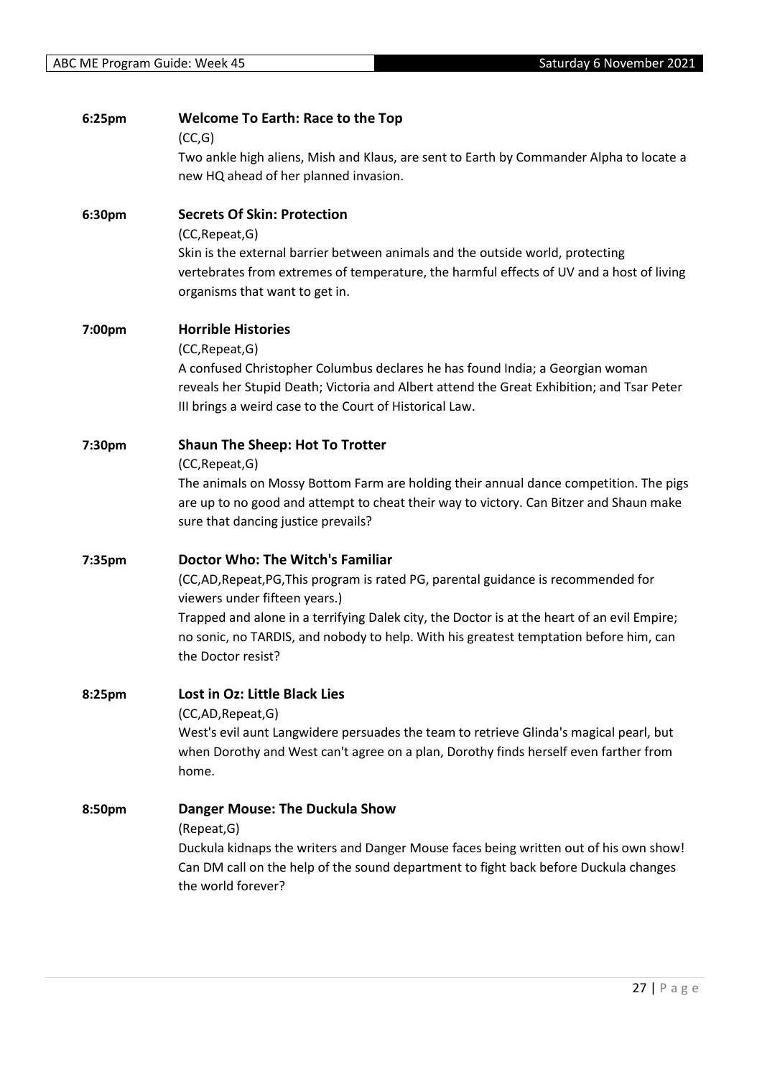| 6:25pm | <b>Welcome To Earth: Race to the Top</b><br>(CC,G)                                                                                                                                                                                    |
|--------|---------------------------------------------------------------------------------------------------------------------------------------------------------------------------------------------------------------------------------------|
|        | Two ankle high aliens, Mish and Klaus, are sent to Earth by Commander Alpha to locate a<br>new HQ ahead of her planned invasion.                                                                                                      |
| 6:30pm | <b>Secrets Of Skin: Protection</b><br>(CC, Repeat, G)                                                                                                                                                                                 |
|        | Skin is the external barrier between animals and the outside world, protecting<br>vertebrates from extremes of temperature, the harmful effects of UV and a host of living<br>organisms that want to get in.                          |
| 7:00pm | <b>Horrible Histories</b><br>(CC, Repeat, G)                                                                                                                                                                                          |
|        | A confused Christopher Columbus declares he has found India; a Georgian woman<br>reveals her Stupid Death; Victoria and Albert attend the Great Exhibition; and Tsar Peter<br>III brings a weird case to the Court of Historical Law. |
| 7:30pm | <b>Shaun The Sheep: Hot To Trotter</b><br>(CC, Repeat, G)                                                                                                                                                                             |
|        | The animals on Mossy Bottom Farm are holding their annual dance competition. The pigs<br>are up to no good and attempt to cheat their way to victory. Can Bitzer and Shaun make<br>sure that dancing justice prevails?                |
| 7:35pm | <b>Doctor Who: The Witch's Familiar</b>                                                                                                                                                                                               |
|        | (CC,AD,Repeat,PG,This program is rated PG, parental guidance is recommended for<br>viewers under fifteen years.)                                                                                                                      |
|        | Trapped and alone in a terrifying Dalek city, the Doctor is at the heart of an evil Empire;<br>no sonic, no TARDIS, and nobody to help. With his greatest temptation before him, can<br>the Doctor resist?                            |
| 8:25pm | Lost in Oz: Little Black Lies                                                                                                                                                                                                         |
|        | (CC,AD,Repeat,G)<br>West's evil aunt Langwidere persuades the team to retrieve Glinda's magical pearl, but<br>when Dorothy and West can't agree on a plan, Dorothy finds herself even farther from<br>home.                           |
| 8:50pm | <b>Danger Mouse: The Duckula Show</b>                                                                                                                                                                                                 |
|        | (Repeat, G)<br>Duckula kidnaps the writers and Danger Mouse faces being written out of his own show!<br>Can DM call on the help of the sound department to fight back before Duckula changes<br>the world forever?                    |